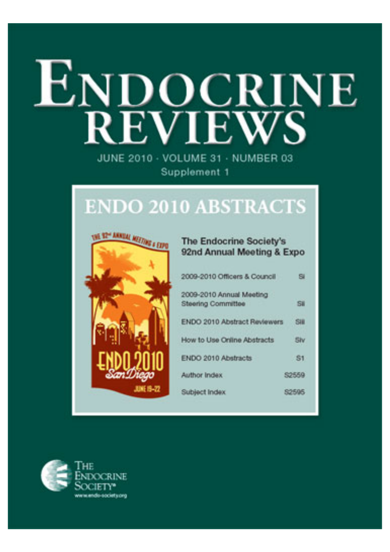# ENDOCRINE **REVIEWS**

JUNE 2010 - VOLUME 31 - NUMBER 03 Supplement 1

# **ENDO 2010 ABSTRACTS**



# The Endocrine Society's 92nd Annual Meeting & Expo **Si** 2009-2010 Officers & Council 2009-2010 Annual Meeting **Steering Committee** Si ENDO 2010 Abstract Reviewers SHI How to Use Online Abstracts **Shy** ENDO 2010 Abstracts  $$1$ Author Index \$2559 Subject Index 82595

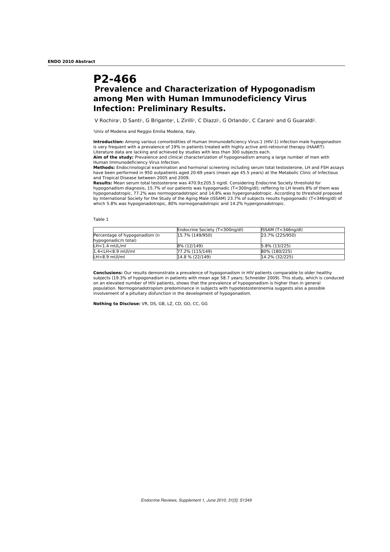# **P2-466 Prevalence and Characterization of Hypogonadism among Men with Human Immunodeficiency Virus Infection: Preliminary Results.**

V Rochira<sup>1</sup>, D Santi<sup>1</sup>, G Brigante<sup>1</sup>, L Zirilli<sup>1</sup>, C Diazzi<sup>1</sup>, G Orlando<sup>1</sup>, C Carani<sup>1</sup> and G Guaraldi<sup>1</sup>.

1 Univ of Modena and Reggio Emilia Modena, Italy.

**Introduction:** Among various comorbidities of Human Immunodeficiency Virus-1 (HIV-1) infection male hypogonadism is very frequent with a prevalence of 19% in patients treated with highly active anti-retroviral therapy (HAART). Literature data are lacking and achieved by studies with less than 300 subjects each.

**Aim of the study:** Prevalence and clinical characterization of hypogonadism among a large number of men with Human Immunodeficiency Virus Infection.

**Methods:** Endocrinological examination and hormonal screening including serum total testosterone, LH and FSH assays have been performed in 950 outpatients aged 20-69 years (mean age 45.5 years) at the Metabolic Clinic of Infectious and Tropical Disease between 2005 and 2009.

**Results:** Mean serum total testosterone was 470.9±205.5 ng/dl. Considering Endocrine Society threshold for<br>hypogonadism diagnosis, 15.7% of our patients was hypogonadic (T<300ng/dl); reffering to LH levels 8% of them was<br> by International Society for the Study of the Aging Male (ISSAM) 23.7% of subjects results hypogonadic (T<346ng/dl) of which 5.8% was hypogonadotropic, 80% normogonadotropic and 14.2% hypergonadotropic.

### Table 1

|                                | Endocrine Society (T<300ng/dl) | $ $ ISSAM (T<346ng/dl) |
|--------------------------------|--------------------------------|------------------------|
| Percentage of hypogonadism (n) | 15.7% (149/950)                | 23.7% (225/950)        |
| hypogonadic/n total)           |                                |                        |
| $LH < 1.4$ mUL/ml              | 8% (12/149)                    | $5.8\%$ (13/225)       |
| $1.4 < LH < 8.9$ mUl/ml        | 77.2% (115/149)                | 80% (180/225)          |
| $LLH > 8.9$ mUl/ml             | $14.8\%$ (22/149)              | $14.2\%$ (32/225)      |

**Conclusions:** Our results demonstrate a prevalence of hypogonadism in HIV patients comparable to older healthy subjects (19.3% of hypogonadism in patients with mean age 58.7 years; Schneider 2009). This study, which is conduced on an elevated number of HIV patients, shows that the prevalence of hypogonadism is higher than in general population. Normogonadotropism predominance in subjects with hypotestosteronemia suggests also a possible involvement of a pituitary disfunction in the development of hypogonadism.

**Nothing to Disclose:** VR, DS, GB, LZ, CD, GO, CC, GG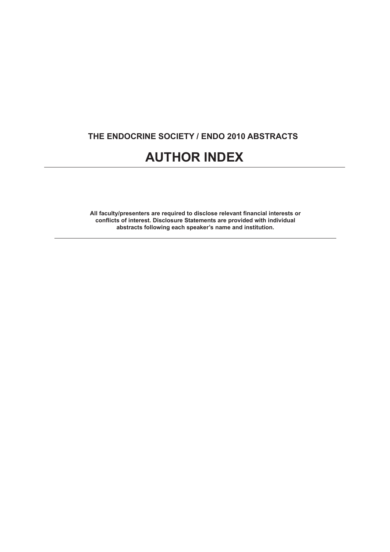# **THE ENDOCRINE SOCIETY / ENDO 2010 ABSTRACTS**

# **AUTHOR INDEX**

All faculty/presenters are required to disclose relevant financial interests or **confl icts of interest. Disclosure Statements are provided with individual abstracts following each speaker's name and institution.**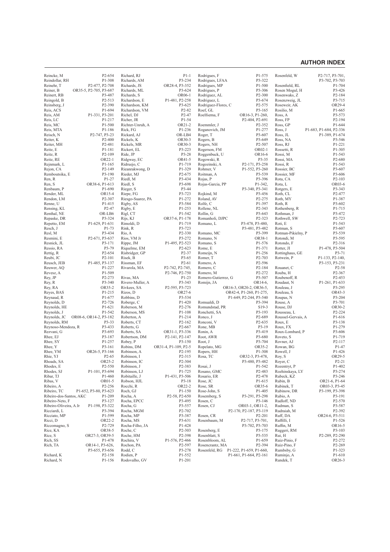# **AUTHOR INDEX**

| P1-308<br>P3-234<br>P3-322<br>Reindollar, RH<br>Richards, AM<br>Rodrigues, LFAA<br>P3-702, P3-703<br>Reinehr, T<br>P2-477, P2-708<br>Richards, JS<br>OR28-4, P3-352<br>Rodrigues, MP<br>P1-500<br>Rosenfield, RL<br>P3-306<br>Reiner, B<br>OR35-5, P2-705, P3-687<br>Richards, ML<br>P3-624<br>Rodrigues, P<br>Rosen Mogul, H<br>OR06-1<br>P2-300<br>Reinert, RB<br>P3-487<br>Richards, S<br>Rodriguez, AL<br>Rosenwaks, Z<br>P2-513<br>P1-481, P2-258<br>P3-674<br>Reingold, B<br>Richardson, E<br>Rodriguez, L<br>Rosenzweig, JL<br>P2-390<br>P3-625<br>Rodriguez-Flores, C<br>P2-575<br>Reinsberg, J<br>Richardson, KM<br>Roseweir, AK<br>P1-694<br>P2-82<br>P3-165<br>Reis, ACS<br>Richardson, VM<br>Roef, GL<br>Rosilio, M<br>P1-331, P3-201<br>P2-47<br>Roelfsema, F<br>Reis, AM<br>Richel, DJ<br>OR16-3, P1-260,<br>Ross, A<br>P1-54<br>P2-404, P2-691<br>Reis, LC<br>P1-217<br>Richer, JR<br>Ross, FP<br>P1-500<br>OR21-2<br>P2-352<br>Reis, MC<br>Richter-Unruh, A<br>Roemmler, J<br>Ross, GP<br>P1-277<br>Reis, MTA<br>P1-186<br>Rick, FG<br>P1-236<br>Roganovich, JM<br>Ross, J<br>P2-747, P3-23<br>OR-LB4<br>P3-607<br>Reisch, N<br>Rickard, AJ<br>Roger, T<br>Ross, JL<br>P2-400<br>OR30-3<br>P3-649<br>Reiter, K<br>Rickels, K<br>Rogers, B<br>Ross, NA<br>P2-481<br>OR30-3<br>P2-507<br>Reiter, MH<br>Rickels, MR<br>Rogers, NH<br>Ross, RJ<br>P1-181<br>P3-223<br>OR02-1<br>Reitz, E<br>Rickert, EL<br>Rogerson, FM<br>Rossetti, R<br>P2-109<br>P3-28<br>Reitz, R<br>Ride, JP<br>Roggenbuck, U<br>OR16-6<br>Rossi, M<br>OR22-1<br>OR41-5<br>P3-35<br>P2-680<br>Reitz, RE<br>Ridgway, EC<br>Rogowski, R<br>Rossi, MA<br>P1-165<br>P1-719<br>P2-171, P3-258<br>P1-543<br>Rejnmark, L<br>Ridruejo, C<br>Rogozinski, A<br>Rossi, R<br>P2-149<br>P1-329<br>Rohmer, V<br>P1-552, P3-260<br>P3-607<br>Rejon, CA<br>Rieanrakwong, D<br>Rossier, BC<br>P3-190<br>P2-675<br>P3-539<br>Remboutsika, E<br>Rieder, MJ<br>Roitman, A<br>Rossier, MF<br>P3-606<br>P1-27<br>P3-434<br>Rojas, P<br>P3-396<br>Ren, R<br>Riedl, M<br>Rota, CA<br>OR38-6, P1-613<br>P3-698<br>Ren, S<br>Riedl, S<br>Rojas-Garcia, PP<br>P1-342,<br>Rota, L<br>P1-690<br>P3-44<br>P3-340, P3-341<br>Renbaum, P<br>Rieger, S<br>Rotgers, E<br>OR15-4<br>P3-723<br>Render, ML<br>Riepe, FG<br>Rojkind, M<br>P3-456<br>Roth, CL<br>P2-307<br>P1-272<br>P2-275<br>Rendon, LM<br>Riesgo-Suarez, PA<br>Roland, AV<br>Roth, MY<br>P1-415<br>P3-584<br>P1-397<br>Renne, U<br>Rigby, AS<br>Rolfe, C<br>Roth, R<br>P2-47<br>P1-253<br>P2-343<br>Rensing, KL<br>Rigby, E<br>Rollene, NL<br>Rothenberg, R<br>P1-542<br>P3-643<br>Renthal, NE<br>OR-LB6<br>Rigl, CT<br>Rollin, G<br>Rothman, J<br>P3-324<br>OR37-6, P1-178<br>P2-323<br>Rothwell, SW<br>Repaske, DR<br>Rijs, KJ<br>Romanholi, DJPC<br>P1-629, P1-631<br>P1-719<br>P3-478, P3-480,<br>Repetto, EM<br>Rimoldi, D<br>Romano, L<br>Roti, E<br>P1-73<br>Rink, R<br>P3-723<br>P3-481, P3-482<br>Resch, J<br>Rotman, S<br>P3-434<br>P2-330<br>P3-399<br>Resl, M<br>Rio, A<br>Romano, MC<br>Rotman-Pikielny, P<br>P2-671, P3-637<br>P3-272<br>Romano, N<br>OR38-1<br>Resmini, E<br>Rios, VM Jr<br>Rotondi, M<br>P1-495, P2-523<br>Romano, S<br>P1-576<br>Resnick, JL<br>P3-171<br>Rippe, JM<br>Rotondo, F<br>P3-79<br>P2-623<br>Rome, E<br>P1-371<br>P1-478, P3-504<br>Ressio, RA<br>Riquelme, EM<br>Rotter, JI<br>P2-654<br>P2-37<br>P1-256<br>P3-71<br>Rettig, R<br>Risbridger, GP<br>Romeijn, N<br>Rottinghaus, GE<br>P2-101<br>P3-65<br>Romer. T<br>P <sub>2</sub> -703<br>Rotwein, P<br>P1-133, P2-140.<br>Reubi, JC<br>Risek, B<br>P2-61<br>P2-596<br>Reusch, JEB<br>P1-485, P3-137<br>Rissman, EF<br>Romero, A<br>P3-153, P3-231<br>P1-227<br>P2-184<br>Reuwer, AQ<br>Rivarola, MA<br>P2-742, P2-745,<br>Romero, C<br>Rouanet, C<br>P <sub>2</sub> -58<br>P1-509<br>P2-746, P2-750<br>P2-272<br>Revesz, A<br>Romero, M<br>Rouba, H<br>P <sub>2</sub> -367<br>P2-273<br>P1-23<br>P3-507<br>Rey, JP<br>Rivas, MA<br>Romero-Gutierrez, G<br>Roubenoff, R<br>P3-340<br>P3-343<br>Rivero-Muller, A<br>OR14-6.<br>Roudaut, N<br>P1-261, P1-633<br>Rey, R<br>Romijn, JA<br>OR35-2<br>P2-595, P3-723<br>OR16-3, OR20-2, OR36-5,<br>Rey, RA<br>Rivkees, SA<br>Rouleau, J<br>P1-215<br>Rizos, D<br>OR27-6<br>OR42-4, P1-260, P1-275,<br>Rouleau, S<br>Reyes, BAS<br>P1-677<br>P3-534<br>P1-649, P2-244, P3-540<br>Reynaud, R<br>Robbins, D<br>Roupas, N<br>P2-726<br>Reynolds, D<br>Roberge, C<br>P1-420<br>Romualdi, D<br>P3-394<br>Rouse, A<br>P1-621<br>Roberson, M<br>P2-276<br>S19-3<br>Rouse, DJ<br>Reynolds, HE<br>Romundstad, PR<br>P1-542<br>P3-193<br>Reynolds, J<br>Roberson, MS<br>P1-108<br>Ronchetti, SA<br>Rousseau, L<br>P1-214<br>P2-689<br>Reynolds, JC<br>OR08-6, OR14-2, P3-182<br>Roberton, A<br>Ronco, J<br>Roussel-Gervais, A<br>P2-635<br>Reynolds, RM<br>P3-33<br>Roberts, CT<br>P <sub>2</sub> -16 <sub>2</sub><br>Ronconi, V<br>Roux, E<br>P3-433<br>P3-19<br>Roux, FX<br>Reynoso-Mendoza, R<br>Roberts, G<br>P <sub>2</sub> -667<br>Rone, MB<br>P3-419<br>Rezvani, G<br>P3-693<br>Roberts, SA<br>OR31-1, P3-336<br>Ronin, A<br>Roux-Lombard, P<br>Rhee, EJ<br>P3-187<br>P2-141, P2-147<br>P3-680<br>Roveto, S<br>Robertson, DM<br>Root, AWR<br>Rhee, SY<br>P1-257<br>P3-704<br>Rovner, AJ<br>P <sub>2</sub> -117<br>Robey, P<br>P3-150<br>Root, J<br>P3-161<br>OR31-4, P1-109, P2-5<br>OR35-2<br>P1-47<br>Rhee, Y<br>Robins, DM<br>Ropelato, MG<br>Rowan, BG<br>P1-308<br>Rhee, YM<br>OR26-5, P3-166<br>Robinson, A<br>P <sub>2</sub> -195<br>Ropers, HH<br>Rowell, J<br>P1-426<br>P2-315<br>OR29-5<br>Rhie, YJ<br>P <sub>2</sub> -65<br>Robinson, I<br>Rosa, TC<br>OR32-3, P3-478,<br>Roy, S<br>OR25-2<br>P2-304<br>Rhoads, SA<br>Robinson, IC<br>P3-480, P3-482<br>Rover, C<br>Rosai, J<br>Rhodes, E<br>P <sub>2</sub> -550<br>Robinson, J<br>P2-383<br>P1-542<br>Rozentryt, P<br>P1-101, P3-694<br>P1-725<br>Rhodes, SJ<br>Robinson, LJ<br>Rosano, GMC<br>P2-483<br>Rozhinskaya, LY<br>Ribar, TJ<br>P1-460<br>Robitaille, J<br>Rosario, ER<br>P2-478<br>P1-431, P3-506<br>Rubeck, KZ<br>Ribas, V<br>OR01-5<br>Robson, HJL<br>P3-18<br>Rose, JC<br>P1-615<br>Rubin, B<br>OR22-2<br>OR35-6<br>Ribeiro, A<br>P <sub>2</sub> -256<br>Rocchi, R<br>Rose, SR<br>Rubinek, T<br>Ribeiro, TC<br>P1-652, P3-80, P3-623<br>Roch, GJ<br>P1-150<br>Rose-John, S<br>P1-405<br>Rubinow, DR<br>Ribeiro-dos-Santos, AKC<br>P3-291, P3-298<br>P1-209<br>Rocha, A<br>P <sub>2</sub> -58, P <sub>2</sub> -650<br>Rosemberg, S<br>Rubio, A<br>Ribeiro-Neto, F<br>P3-127<br>Rocha, EPCC<br>P3-495<br>Rosen, C<br>P3-146<br>Rudloff, ND<br>P1-198, P3-322<br>OR03-1, OR11-2,<br>Ribeiro-Oliveira, A Jr<br>Rocha, G<br>P3-557<br>Rosen, CJ<br>Rudman, S<br>P3-394<br>P2-702<br>Ricciardi, L<br>Rocha, MGM<br>P2-170, P2-187, P3-119<br>Rudraiah, M<br>Ricciato, MP<br>P1-599<br>Rocha, MP<br>P3-387<br>Rosen, CR<br>P2-201<br>Ruff, DA<br>OR24-6, P3-511<br>Ricci, D<br>OR22-2<br>Rocha, MS<br>P3-631<br>Rosenbaum, M<br>P2-717, P3-701,<br>Ruffilli, I<br>P3-702, P3-703<br>Riccomagno, S<br>P <sub>2</sub> -729<br>Rocha-Filho, JA<br>P1-428<br>Ruffin, M<br>Rice, KA<br>OR38-5<br>P2-303<br>Ruggeri, RM<br>Roche, C<br>Rosenberg, E<br>P3-175<br>Rice, S<br>OR27-3, OR39-5<br>P2-398<br>P3-535<br>P2-289, P2-290<br>Roche, HM<br>Rosenblatt, S<br>Rui, H<br>Rich, SS<br>P1-659<br>Ruiz-Pinio, F<br>P1-478<br>Rochira, V<br>P1-576, P2-466<br>Rosenbloom, AL<br>P <sub>2</sub> -27 <sub>2</sub><br>Rich, TA<br>OR14-1, P3-626,<br>P2-597<br>P2-394<br>Ruiz-Pino, F<br>Rochon, PA<br>Rosencrantz, MA<br>P3-655, P3-656<br>Rodd, C<br>P3-278<br>Rosenfeld, RG<br>P1-222, P1-659, P1-660,<br>Rumbsby, G<br>Richard, K<br>Rodien, P<br>P1-552<br>P1-661, P1-664, P2-161<br>Ruminjo, A<br>P2-158 |            | P <sub>2</sub> -654 |               | $P1-1$ | Rodrigues, F | P1-575 | Rosenfeld, W |                                          |
|-------------------------------------------------------------------------------------------------------------------------------------------------------------------------------------------------------------------------------------------------------------------------------------------------------------------------------------------------------------------------------------------------------------------------------------------------------------------------------------------------------------------------------------------------------------------------------------------------------------------------------------------------------------------------------------------------------------------------------------------------------------------------------------------------------------------------------------------------------------------------------------------------------------------------------------------------------------------------------------------------------------------------------------------------------------------------------------------------------------------------------------------------------------------------------------------------------------------------------------------------------------------------------------------------------------------------------------------------------------------------------------------------------------------------------------------------------------------------------------------------------------------------------------------------------------------------------------------------------------------------------------------------------------------------------------------------------------------------------------------------------------------------------------------------------------------------------------------------------------------------------------------------------------------------------------------------------------------------------------------------------------------------------------------------------------------------------------------------------------------------------------------------------------------------------------------------------------------------------------------------------------------------------------------------------------------------------------------------------------------------------------------------------------------------------------------------------------------------------------------------------------------------------------------------------------------------------------------------------------------------------------------------------------------------------------------------------------------------------------------------------------------------------------------------------------------------------------------------------------------------------------------------------------------------------------------------------------------------------------------------------------------------------------------------------------------------------------------------------------------------------------------------------------------------------------------------------------------------------------------------------------------------------------------------------------------------------------------------------------------------------------------------------------------------------------------------------------------------------------------------------------------------------------------------------------------------------------------------------------------------------------------------------------------------------------------------------------------------------------------------------------------------------------------------------------------------------------------------------------------------------------------------------------------------------------------------------------------------------------------------------------------------------------------------------------------------------------------------------------------------------------------------------------------------------------------------------------------------------------------------------------------------------------------------------------------------------------------------------------------------------------------------------------------------------------------------------------------------------------------------------------------------------------------------------------------------------------------------------------------------------------------------------------------------------------------------------------------------------------------------------------------------------------------------------------------------------------------------------------------------------------------------------------------------------------------------------------------------------------------------------------------------------------------------------------------------------------------------------------------------------------------------------------------------------------------------------------------------------------------------------------------------------------------------------------------------------------------------------------------------------------------------------------------------------------------------------------------------------------------------------------------------------------------------------------------------------------------------------------------------------------------------------------------------------------------------------------------------------------------------------------------------------------------------------------------------------------------------------------------------------------------------------------------------------------------------------------------------------------------------------------------------------------------------------------------------------------------------------------------------------------------------------------------------------------------------------------------------------------------------------------------------------------------------------------------------------------------------------------------------------------------------------------------------------------------------------------------------------------------------------------------------------------------------------------------------------------------------------------------------------------------------------------------------------------------------------------------------------------------------------------------------------------------------------------------------------------------------------------------------------------------------------------------------------------------------------------------------------------------------------------------------------------------------------------------------------------------------------------------------------------------------------------------------------------------------------------------------------------------------------------------------------------------------------------------------------------------------------------------------------------------------------------------------------------------------------------------------------------------------------------------------------------------------------------------------------------------------------------------------------------------------------------------------------------------------------------------------|------------|---------------------|---------------|--------|--------------|--------|--------------|------------------------------------------|
|                                                                                                                                                                                                                                                                                                                                                                                                                                                                                                                                                                                                                                                                                                                                                                                                                                                                                                                                                                                                                                                                                                                                                                                                                                                                                                                                                                                                                                                                                                                                                                                                                                                                                                                                                                                                                                                                                                                                                                                                                                                                                                                                                                                                                                                                                                                                                                                                                                                                                                                                                                                                                                                                                                                                                                                                                                                                                                                                                                                                                                                                                                                                                                                                                                                                                                                                                                                                                                                                                                                                                                                                                                                                                                                                                                                                                                                                                                                                                                                                                                                                                                                                                                                                                                                                                                                                                                                                                                                                                                                                                                                                                                                                                                                                                                                                                                                                                                                                                                                                                                                                                                                                                                                                                                                                                                                                                                                                                                                                                                                                                                                                                                                                                                                                                                                                                                                                                                                                                                                                                                                                                                                                                                                                                                                                                                                                                                                                                                                                                                                                                                                                                                                                                                                                                                                                                                                                                                                                                                                                                                                                                                                                                                                                                                                                                                                                                                                                                                                                                                                                                                                                                                                                                                                         | Reincke, M |                     | Richard, RJ   |        |              |        |              | P <sub>2</sub> -717, P <sub>3</sub> -701 |
|                                                                                                                                                                                                                                                                                                                                                                                                                                                                                                                                                                                                                                                                                                                                                                                                                                                                                                                                                                                                                                                                                                                                                                                                                                                                                                                                                                                                                                                                                                                                                                                                                                                                                                                                                                                                                                                                                                                                                                                                                                                                                                                                                                                                                                                                                                                                                                                                                                                                                                                                                                                                                                                                                                                                                                                                                                                                                                                                                                                                                                                                                                                                                                                                                                                                                                                                                                                                                                                                                                                                                                                                                                                                                                                                                                                                                                                                                                                                                                                                                                                                                                                                                                                                                                                                                                                                                                                                                                                                                                                                                                                                                                                                                                                                                                                                                                                                                                                                                                                                                                                                                                                                                                                                                                                                                                                                                                                                                                                                                                                                                                                                                                                                                                                                                                                                                                                                                                                                                                                                                                                                                                                                                                                                                                                                                                                                                                                                                                                                                                                                                                                                                                                                                                                                                                                                                                                                                                                                                                                                                                                                                                                                                                                                                                                                                                                                                                                                                                                                                                                                                                                                                                                                                                                         |            |                     |               |        |              |        |              | P1-704                                   |
|                                                                                                                                                                                                                                                                                                                                                                                                                                                                                                                                                                                                                                                                                                                                                                                                                                                                                                                                                                                                                                                                                                                                                                                                                                                                                                                                                                                                                                                                                                                                                                                                                                                                                                                                                                                                                                                                                                                                                                                                                                                                                                                                                                                                                                                                                                                                                                                                                                                                                                                                                                                                                                                                                                                                                                                                                                                                                                                                                                                                                                                                                                                                                                                                                                                                                                                                                                                                                                                                                                                                                                                                                                                                                                                                                                                                                                                                                                                                                                                                                                                                                                                                                                                                                                                                                                                                                                                                                                                                                                                                                                                                                                                                                                                                                                                                                                                                                                                                                                                                                                                                                                                                                                                                                                                                                                                                                                                                                                                                                                                                                                                                                                                                                                                                                                                                                                                                                                                                                                                                                                                                                                                                                                                                                                                                                                                                                                                                                                                                                                                                                                                                                                                                                                                                                                                                                                                                                                                                                                                                                                                                                                                                                                                                                                                                                                                                                                                                                                                                                                                                                                                                                                                                                                                         |            |                     |               |        |              |        |              | P3-426                                   |
|                                                                                                                                                                                                                                                                                                                                                                                                                                                                                                                                                                                                                                                                                                                                                                                                                                                                                                                                                                                                                                                                                                                                                                                                                                                                                                                                                                                                                                                                                                                                                                                                                                                                                                                                                                                                                                                                                                                                                                                                                                                                                                                                                                                                                                                                                                                                                                                                                                                                                                                                                                                                                                                                                                                                                                                                                                                                                                                                                                                                                                                                                                                                                                                                                                                                                                                                                                                                                                                                                                                                                                                                                                                                                                                                                                                                                                                                                                                                                                                                                                                                                                                                                                                                                                                                                                                                                                                                                                                                                                                                                                                                                                                                                                                                                                                                                                                                                                                                                                                                                                                                                                                                                                                                                                                                                                                                                                                                                                                                                                                                                                                                                                                                                                                                                                                                                                                                                                                                                                                                                                                                                                                                                                                                                                                                                                                                                                                                                                                                                                                                                                                                                                                                                                                                                                                                                                                                                                                                                                                                                                                                                                                                                                                                                                                                                                                                                                                                                                                                                                                                                                                                                                                                                                                         |            |                     |               |        |              |        |              | P2-184                                   |
|                                                                                                                                                                                                                                                                                                                                                                                                                                                                                                                                                                                                                                                                                                                                                                                                                                                                                                                                                                                                                                                                                                                                                                                                                                                                                                                                                                                                                                                                                                                                                                                                                                                                                                                                                                                                                                                                                                                                                                                                                                                                                                                                                                                                                                                                                                                                                                                                                                                                                                                                                                                                                                                                                                                                                                                                                                                                                                                                                                                                                                                                                                                                                                                                                                                                                                                                                                                                                                                                                                                                                                                                                                                                                                                                                                                                                                                                                                                                                                                                                                                                                                                                                                                                                                                                                                                                                                                                                                                                                                                                                                                                                                                                                                                                                                                                                                                                                                                                                                                                                                                                                                                                                                                                                                                                                                                                                                                                                                                                                                                                                                                                                                                                                                                                                                                                                                                                                                                                                                                                                                                                                                                                                                                                                                                                                                                                                                                                                                                                                                                                                                                                                                                                                                                                                                                                                                                                                                                                                                                                                                                                                                                                                                                                                                                                                                                                                                                                                                                                                                                                                                                                                                                                                                                         |            |                     |               |        |              |        |              | P3-715                                   |
|                                                                                                                                                                                                                                                                                                                                                                                                                                                                                                                                                                                                                                                                                                                                                                                                                                                                                                                                                                                                                                                                                                                                                                                                                                                                                                                                                                                                                                                                                                                                                                                                                                                                                                                                                                                                                                                                                                                                                                                                                                                                                                                                                                                                                                                                                                                                                                                                                                                                                                                                                                                                                                                                                                                                                                                                                                                                                                                                                                                                                                                                                                                                                                                                                                                                                                                                                                                                                                                                                                                                                                                                                                                                                                                                                                                                                                                                                                                                                                                                                                                                                                                                                                                                                                                                                                                                                                                                                                                                                                                                                                                                                                                                                                                                                                                                                                                                                                                                                                                                                                                                                                                                                                                                                                                                                                                                                                                                                                                                                                                                                                                                                                                                                                                                                                                                                                                                                                                                                                                                                                                                                                                                                                                                                                                                                                                                                                                                                                                                                                                                                                                                                                                                                                                                                                                                                                                                                                                                                                                                                                                                                                                                                                                                                                                                                                                                                                                                                                                                                                                                                                                                                                                                                                                         |            |                     |               |        |              |        |              | OR29-4                                   |
|                                                                                                                                                                                                                                                                                                                                                                                                                                                                                                                                                                                                                                                                                                                                                                                                                                                                                                                                                                                                                                                                                                                                                                                                                                                                                                                                                                                                                                                                                                                                                                                                                                                                                                                                                                                                                                                                                                                                                                                                                                                                                                                                                                                                                                                                                                                                                                                                                                                                                                                                                                                                                                                                                                                                                                                                                                                                                                                                                                                                                                                                                                                                                                                                                                                                                                                                                                                                                                                                                                                                                                                                                                                                                                                                                                                                                                                                                                                                                                                                                                                                                                                                                                                                                                                                                                                                                                                                                                                                                                                                                                                                                                                                                                                                                                                                                                                                                                                                                                                                                                                                                                                                                                                                                                                                                                                                                                                                                                                                                                                                                                                                                                                                                                                                                                                                                                                                                                                                                                                                                                                                                                                                                                                                                                                                                                                                                                                                                                                                                                                                                                                                                                                                                                                                                                                                                                                                                                                                                                                                                                                                                                                                                                                                                                                                                                                                                                                                                                                                                                                                                                                                                                                                                                                         |            |                     |               |        |              |        |              | P1-665                                   |
|                                                                                                                                                                                                                                                                                                                                                                                                                                                                                                                                                                                                                                                                                                                                                                                                                                                                                                                                                                                                                                                                                                                                                                                                                                                                                                                                                                                                                                                                                                                                                                                                                                                                                                                                                                                                                                                                                                                                                                                                                                                                                                                                                                                                                                                                                                                                                                                                                                                                                                                                                                                                                                                                                                                                                                                                                                                                                                                                                                                                                                                                                                                                                                                                                                                                                                                                                                                                                                                                                                                                                                                                                                                                                                                                                                                                                                                                                                                                                                                                                                                                                                                                                                                                                                                                                                                                                                                                                                                                                                                                                                                                                                                                                                                                                                                                                                                                                                                                                                                                                                                                                                                                                                                                                                                                                                                                                                                                                                                                                                                                                                                                                                                                                                                                                                                                                                                                                                                                                                                                                                                                                                                                                                                                                                                                                                                                                                                                                                                                                                                                                                                                                                                                                                                                                                                                                                                                                                                                                                                                                                                                                                                                                                                                                                                                                                                                                                                                                                                                                                                                                                                                                                                                                                                         |            |                     |               |        |              |        |              | P3-573                                   |
|                                                                                                                                                                                                                                                                                                                                                                                                                                                                                                                                                                                                                                                                                                                                                                                                                                                                                                                                                                                                                                                                                                                                                                                                                                                                                                                                                                                                                                                                                                                                                                                                                                                                                                                                                                                                                                                                                                                                                                                                                                                                                                                                                                                                                                                                                                                                                                                                                                                                                                                                                                                                                                                                                                                                                                                                                                                                                                                                                                                                                                                                                                                                                                                                                                                                                                                                                                                                                                                                                                                                                                                                                                                                                                                                                                                                                                                                                                                                                                                                                                                                                                                                                                                                                                                                                                                                                                                                                                                                                                                                                                                                                                                                                                                                                                                                                                                                                                                                                                                                                                                                                                                                                                                                                                                                                                                                                                                                                                                                                                                                                                                                                                                                                                                                                                                                                                                                                                                                                                                                                                                                                                                                                                                                                                                                                                                                                                                                                                                                                                                                                                                                                                                                                                                                                                                                                                                                                                                                                                                                                                                                                                                                                                                                                                                                                                                                                                                                                                                                                                                                                                                                                                                                                                                         |            |                     |               |        |              |        |              | P2-194                                   |
|                                                                                                                                                                                                                                                                                                                                                                                                                                                                                                                                                                                                                                                                                                                                                                                                                                                                                                                                                                                                                                                                                                                                                                                                                                                                                                                                                                                                                                                                                                                                                                                                                                                                                                                                                                                                                                                                                                                                                                                                                                                                                                                                                                                                                                                                                                                                                                                                                                                                                                                                                                                                                                                                                                                                                                                                                                                                                                                                                                                                                                                                                                                                                                                                                                                                                                                                                                                                                                                                                                                                                                                                                                                                                                                                                                                                                                                                                                                                                                                                                                                                                                                                                                                                                                                                                                                                                                                                                                                                                                                                                                                                                                                                                                                                                                                                                                                                                                                                                                                                                                                                                                                                                                                                                                                                                                                                                                                                                                                                                                                                                                                                                                                                                                                                                                                                                                                                                                                                                                                                                                                                                                                                                                                                                                                                                                                                                                                                                                                                                                                                                                                                                                                                                                                                                                                                                                                                                                                                                                                                                                                                                                                                                                                                                                                                                                                                                                                                                                                                                                                                                                                                                                                                                                                         |            |                     |               |        |              |        |              | P1-644                                   |
|                                                                                                                                                                                                                                                                                                                                                                                                                                                                                                                                                                                                                                                                                                                                                                                                                                                                                                                                                                                                                                                                                                                                                                                                                                                                                                                                                                                                                                                                                                                                                                                                                                                                                                                                                                                                                                                                                                                                                                                                                                                                                                                                                                                                                                                                                                                                                                                                                                                                                                                                                                                                                                                                                                                                                                                                                                                                                                                                                                                                                                                                                                                                                                                                                                                                                                                                                                                                                                                                                                                                                                                                                                                                                                                                                                                                                                                                                                                                                                                                                                                                                                                                                                                                                                                                                                                                                                                                                                                                                                                                                                                                                                                                                                                                                                                                                                                                                                                                                                                                                                                                                                                                                                                                                                                                                                                                                                                                                                                                                                                                                                                                                                                                                                                                                                                                                                                                                                                                                                                                                                                                                                                                                                                                                                                                                                                                                                                                                                                                                                                                                                                                                                                                                                                                                                                                                                                                                                                                                                                                                                                                                                                                                                                                                                                                                                                                                                                                                                                                                                                                                                                                                                                                                                                         |            |                     |               |        |              |        |              | P1-683, P1-684, P2-336                   |
|                                                                                                                                                                                                                                                                                                                                                                                                                                                                                                                                                                                                                                                                                                                                                                                                                                                                                                                                                                                                                                                                                                                                                                                                                                                                                                                                                                                                                                                                                                                                                                                                                                                                                                                                                                                                                                                                                                                                                                                                                                                                                                                                                                                                                                                                                                                                                                                                                                                                                                                                                                                                                                                                                                                                                                                                                                                                                                                                                                                                                                                                                                                                                                                                                                                                                                                                                                                                                                                                                                                                                                                                                                                                                                                                                                                                                                                                                                                                                                                                                                                                                                                                                                                                                                                                                                                                                                                                                                                                                                                                                                                                                                                                                                                                                                                                                                                                                                                                                                                                                                                                                                                                                                                                                                                                                                                                                                                                                                                                                                                                                                                                                                                                                                                                                                                                                                                                                                                                                                                                                                                                                                                                                                                                                                                                                                                                                                                                                                                                                                                                                                                                                                                                                                                                                                                                                                                                                                                                                                                                                                                                                                                                                                                                                                                                                                                                                                                                                                                                                                                                                                                                                                                                                                                         |            |                     |               |        |              |        |              | P1-389, P1-674                           |
|                                                                                                                                                                                                                                                                                                                                                                                                                                                                                                                                                                                                                                                                                                                                                                                                                                                                                                                                                                                                                                                                                                                                                                                                                                                                                                                                                                                                                                                                                                                                                                                                                                                                                                                                                                                                                                                                                                                                                                                                                                                                                                                                                                                                                                                                                                                                                                                                                                                                                                                                                                                                                                                                                                                                                                                                                                                                                                                                                                                                                                                                                                                                                                                                                                                                                                                                                                                                                                                                                                                                                                                                                                                                                                                                                                                                                                                                                                                                                                                                                                                                                                                                                                                                                                                                                                                                                                                                                                                                                                                                                                                                                                                                                                                                                                                                                                                                                                                                                                                                                                                                                                                                                                                                                                                                                                                                                                                                                                                                                                                                                                                                                                                                                                                                                                                                                                                                                                                                                                                                                                                                                                                                                                                                                                                                                                                                                                                                                                                                                                                                                                                                                                                                                                                                                                                                                                                                                                                                                                                                                                                                                                                                                                                                                                                                                                                                                                                                                                                                                                                                                                                                                                                                                                                         |            |                     |               |        |              |        |              | P3-546                                   |
|                                                                                                                                                                                                                                                                                                                                                                                                                                                                                                                                                                                                                                                                                                                                                                                                                                                                                                                                                                                                                                                                                                                                                                                                                                                                                                                                                                                                                                                                                                                                                                                                                                                                                                                                                                                                                                                                                                                                                                                                                                                                                                                                                                                                                                                                                                                                                                                                                                                                                                                                                                                                                                                                                                                                                                                                                                                                                                                                                                                                                                                                                                                                                                                                                                                                                                                                                                                                                                                                                                                                                                                                                                                                                                                                                                                                                                                                                                                                                                                                                                                                                                                                                                                                                                                                                                                                                                                                                                                                                                                                                                                                                                                                                                                                                                                                                                                                                                                                                                                                                                                                                                                                                                                                                                                                                                                                                                                                                                                                                                                                                                                                                                                                                                                                                                                                                                                                                                                                                                                                                                                                                                                                                                                                                                                                                                                                                                                                                                                                                                                                                                                                                                                                                                                                                                                                                                                                                                                                                                                                                                                                                                                                                                                                                                                                                                                                                                                                                                                                                                                                                                                                                                                                                                                         |            |                     |               |        |              |        |              | P1-221                                   |
|                                                                                                                                                                                                                                                                                                                                                                                                                                                                                                                                                                                                                                                                                                                                                                                                                                                                                                                                                                                                                                                                                                                                                                                                                                                                                                                                                                                                                                                                                                                                                                                                                                                                                                                                                                                                                                                                                                                                                                                                                                                                                                                                                                                                                                                                                                                                                                                                                                                                                                                                                                                                                                                                                                                                                                                                                                                                                                                                                                                                                                                                                                                                                                                                                                                                                                                                                                                                                                                                                                                                                                                                                                                                                                                                                                                                                                                                                                                                                                                                                                                                                                                                                                                                                                                                                                                                                                                                                                                                                                                                                                                                                                                                                                                                                                                                                                                                                                                                                                                                                                                                                                                                                                                                                                                                                                                                                                                                                                                                                                                                                                                                                                                                                                                                                                                                                                                                                                                                                                                                                                                                                                                                                                                                                                                                                                                                                                                                                                                                                                                                                                                                                                                                                                                                                                                                                                                                                                                                                                                                                                                                                                                                                                                                                                                                                                                                                                                                                                                                                                                                                                                                                                                                                                                         |            |                     |               |        |              |        |              | P1-305                                   |
|                                                                                                                                                                                                                                                                                                                                                                                                                                                                                                                                                                                                                                                                                                                                                                                                                                                                                                                                                                                                                                                                                                                                                                                                                                                                                                                                                                                                                                                                                                                                                                                                                                                                                                                                                                                                                                                                                                                                                                                                                                                                                                                                                                                                                                                                                                                                                                                                                                                                                                                                                                                                                                                                                                                                                                                                                                                                                                                                                                                                                                                                                                                                                                                                                                                                                                                                                                                                                                                                                                                                                                                                                                                                                                                                                                                                                                                                                                                                                                                                                                                                                                                                                                                                                                                                                                                                                                                                                                                                                                                                                                                                                                                                                                                                                                                                                                                                                                                                                                                                                                                                                                                                                                                                                                                                                                                                                                                                                                                                                                                                                                                                                                                                                                                                                                                                                                                                                                                                                                                                                                                                                                                                                                                                                                                                                                                                                                                                                                                                                                                                                                                                                                                                                                                                                                                                                                                                                                                                                                                                                                                                                                                                                                                                                                                                                                                                                                                                                                                                                                                                                                                                                                                                                                                         |            |                     |               |        |              |        |              | P1-543                                   |
|                                                                                                                                                                                                                                                                                                                                                                                                                                                                                                                                                                                                                                                                                                                                                                                                                                                                                                                                                                                                                                                                                                                                                                                                                                                                                                                                                                                                                                                                                                                                                                                                                                                                                                                                                                                                                                                                                                                                                                                                                                                                                                                                                                                                                                                                                                                                                                                                                                                                                                                                                                                                                                                                                                                                                                                                                                                                                                                                                                                                                                                                                                                                                                                                                                                                                                                                                                                                                                                                                                                                                                                                                                                                                                                                                                                                                                                                                                                                                                                                                                                                                                                                                                                                                                                                                                                                                                                                                                                                                                                                                                                                                                                                                                                                                                                                                                                                                                                                                                                                                                                                                                                                                                                                                                                                                                                                                                                                                                                                                                                                                                                                                                                                                                                                                                                                                                                                                                                                                                                                                                                                                                                                                                                                                                                                                                                                                                                                                                                                                                                                                                                                                                                                                                                                                                                                                                                                                                                                                                                                                                                                                                                                                                                                                                                                                                                                                                                                                                                                                                                                                                                                                                                                                                                         |            |                     |               |        |              |        |              |                                          |
|                                                                                                                                                                                                                                                                                                                                                                                                                                                                                                                                                                                                                                                                                                                                                                                                                                                                                                                                                                                                                                                                                                                                                                                                                                                                                                                                                                                                                                                                                                                                                                                                                                                                                                                                                                                                                                                                                                                                                                                                                                                                                                                                                                                                                                                                                                                                                                                                                                                                                                                                                                                                                                                                                                                                                                                                                                                                                                                                                                                                                                                                                                                                                                                                                                                                                                                                                                                                                                                                                                                                                                                                                                                                                                                                                                                                                                                                                                                                                                                                                                                                                                                                                                                                                                                                                                                                                                                                                                                                                                                                                                                                                                                                                                                                                                                                                                                                                                                                                                                                                                                                                                                                                                                                                                                                                                                                                                                                                                                                                                                                                                                                                                                                                                                                                                                                                                                                                                                                                                                                                                                                                                                                                                                                                                                                                                                                                                                                                                                                                                                                                                                                                                                                                                                                                                                                                                                                                                                                                                                                                                                                                                                                                                                                                                                                                                                                                                                                                                                                                                                                                                                                                                                                                                                         |            |                     |               |        |              |        |              |                                          |
|                                                                                                                                                                                                                                                                                                                                                                                                                                                                                                                                                                                                                                                                                                                                                                                                                                                                                                                                                                                                                                                                                                                                                                                                                                                                                                                                                                                                                                                                                                                                                                                                                                                                                                                                                                                                                                                                                                                                                                                                                                                                                                                                                                                                                                                                                                                                                                                                                                                                                                                                                                                                                                                                                                                                                                                                                                                                                                                                                                                                                                                                                                                                                                                                                                                                                                                                                                                                                                                                                                                                                                                                                                                                                                                                                                                                                                                                                                                                                                                                                                                                                                                                                                                                                                                                                                                                                                                                                                                                                                                                                                                                                                                                                                                                                                                                                                                                                                                                                                                                                                                                                                                                                                                                                                                                                                                                                                                                                                                                                                                                                                                                                                                                                                                                                                                                                                                                                                                                                                                                                                                                                                                                                                                                                                                                                                                                                                                                                                                                                                                                                                                                                                                                                                                                                                                                                                                                                                                                                                                                                                                                                                                                                                                                                                                                                                                                                                                                                                                                                                                                                                                                                                                                                                                         |            |                     |               |        |              |        |              |                                          |
|                                                                                                                                                                                                                                                                                                                                                                                                                                                                                                                                                                                                                                                                                                                                                                                                                                                                                                                                                                                                                                                                                                                                                                                                                                                                                                                                                                                                                                                                                                                                                                                                                                                                                                                                                                                                                                                                                                                                                                                                                                                                                                                                                                                                                                                                                                                                                                                                                                                                                                                                                                                                                                                                                                                                                                                                                                                                                                                                                                                                                                                                                                                                                                                                                                                                                                                                                                                                                                                                                                                                                                                                                                                                                                                                                                                                                                                                                                                                                                                                                                                                                                                                                                                                                                                                                                                                                                                                                                                                                                                                                                                                                                                                                                                                                                                                                                                                                                                                                                                                                                                                                                                                                                                                                                                                                                                                                                                                                                                                                                                                                                                                                                                                                                                                                                                                                                                                                                                                                                                                                                                                                                                                                                                                                                                                                                                                                                                                                                                                                                                                                                                                                                                                                                                                                                                                                                                                                                                                                                                                                                                                                                                                                                                                                                                                                                                                                                                                                                                                                                                                                                                                                                                                                                                         |            |                     |               |        |              |        |              | P2-103                                   |
|                                                                                                                                                                                                                                                                                                                                                                                                                                                                                                                                                                                                                                                                                                                                                                                                                                                                                                                                                                                                                                                                                                                                                                                                                                                                                                                                                                                                                                                                                                                                                                                                                                                                                                                                                                                                                                                                                                                                                                                                                                                                                                                                                                                                                                                                                                                                                                                                                                                                                                                                                                                                                                                                                                                                                                                                                                                                                                                                                                                                                                                                                                                                                                                                                                                                                                                                                                                                                                                                                                                                                                                                                                                                                                                                                                                                                                                                                                                                                                                                                                                                                                                                                                                                                                                                                                                                                                                                                                                                                                                                                                                                                                                                                                                                                                                                                                                                                                                                                                                                                                                                                                                                                                                                                                                                                                                                                                                                                                                                                                                                                                                                                                                                                                                                                                                                                                                                                                                                                                                                                                                                                                                                                                                                                                                                                                                                                                                                                                                                                                                                                                                                                                                                                                                                                                                                                                                                                                                                                                                                                                                                                                                                                                                                                                                                                                                                                                                                                                                                                                                                                                                                                                                                                                                         |            |                     |               |        |              |        |              | OR03-6                                   |
|                                                                                                                                                                                                                                                                                                                                                                                                                                                                                                                                                                                                                                                                                                                                                                                                                                                                                                                                                                                                                                                                                                                                                                                                                                                                                                                                                                                                                                                                                                                                                                                                                                                                                                                                                                                                                                                                                                                                                                                                                                                                                                                                                                                                                                                                                                                                                                                                                                                                                                                                                                                                                                                                                                                                                                                                                                                                                                                                                                                                                                                                                                                                                                                                                                                                                                                                                                                                                                                                                                                                                                                                                                                                                                                                                                                                                                                                                                                                                                                                                                                                                                                                                                                                                                                                                                                                                                                                                                                                                                                                                                                                                                                                                                                                                                                                                                                                                                                                                                                                                                                                                                                                                                                                                                                                                                                                                                                                                                                                                                                                                                                                                                                                                                                                                                                                                                                                                                                                                                                                                                                                                                                                                                                                                                                                                                                                                                                                                                                                                                                                                                                                                                                                                                                                                                                                                                                                                                                                                                                                                                                                                                                                                                                                                                                                                                                                                                                                                                                                                                                                                                                                                                                                                                                         |            |                     |               |        |              |        |              | P3-343                                   |
|                                                                                                                                                                                                                                                                                                                                                                                                                                                                                                                                                                                                                                                                                                                                                                                                                                                                                                                                                                                                                                                                                                                                                                                                                                                                                                                                                                                                                                                                                                                                                                                                                                                                                                                                                                                                                                                                                                                                                                                                                                                                                                                                                                                                                                                                                                                                                                                                                                                                                                                                                                                                                                                                                                                                                                                                                                                                                                                                                                                                                                                                                                                                                                                                                                                                                                                                                                                                                                                                                                                                                                                                                                                                                                                                                                                                                                                                                                                                                                                                                                                                                                                                                                                                                                                                                                                                                                                                                                                                                                                                                                                                                                                                                                                                                                                                                                                                                                                                                                                                                                                                                                                                                                                                                                                                                                                                                                                                                                                                                                                                                                                                                                                                                                                                                                                                                                                                                                                                                                                                                                                                                                                                                                                                                                                                                                                                                                                                                                                                                                                                                                                                                                                                                                                                                                                                                                                                                                                                                                                                                                                                                                                                                                                                                                                                                                                                                                                                                                                                                                                                                                                                                                                                                                                         |            |                     |               |        |              |        |              | P2-477                                   |
|                                                                                                                                                                                                                                                                                                                                                                                                                                                                                                                                                                                                                                                                                                                                                                                                                                                                                                                                                                                                                                                                                                                                                                                                                                                                                                                                                                                                                                                                                                                                                                                                                                                                                                                                                                                                                                                                                                                                                                                                                                                                                                                                                                                                                                                                                                                                                                                                                                                                                                                                                                                                                                                                                                                                                                                                                                                                                                                                                                                                                                                                                                                                                                                                                                                                                                                                                                                                                                                                                                                                                                                                                                                                                                                                                                                                                                                                                                                                                                                                                                                                                                                                                                                                                                                                                                                                                                                                                                                                                                                                                                                                                                                                                                                                                                                                                                                                                                                                                                                                                                                                                                                                                                                                                                                                                                                                                                                                                                                                                                                                                                                                                                                                                                                                                                                                                                                                                                                                                                                                                                                                                                                                                                                                                                                                                                                                                                                                                                                                                                                                                                                                                                                                                                                                                                                                                                                                                                                                                                                                                                                                                                                                                                                                                                                                                                                                                                                                                                                                                                                                                                                                                                                                                                                         |            |                     |               |        |              |        |              | P1-387                                   |
|                                                                                                                                                                                                                                                                                                                                                                                                                                                                                                                                                                                                                                                                                                                                                                                                                                                                                                                                                                                                                                                                                                                                                                                                                                                                                                                                                                                                                                                                                                                                                                                                                                                                                                                                                                                                                                                                                                                                                                                                                                                                                                                                                                                                                                                                                                                                                                                                                                                                                                                                                                                                                                                                                                                                                                                                                                                                                                                                                                                                                                                                                                                                                                                                                                                                                                                                                                                                                                                                                                                                                                                                                                                                                                                                                                                                                                                                                                                                                                                                                                                                                                                                                                                                                                                                                                                                                                                                                                                                                                                                                                                                                                                                                                                                                                                                                                                                                                                                                                                                                                                                                                                                                                                                                                                                                                                                                                                                                                                                                                                                                                                                                                                                                                                                                                                                                                                                                                                                                                                                                                                                                                                                                                                                                                                                                                                                                                                                                                                                                                                                                                                                                                                                                                                                                                                                                                                                                                                                                                                                                                                                                                                                                                                                                                                                                                                                                                                                                                                                                                                                                                                                                                                                                                                         |            |                     |               |        |              |        |              | P3-602                                   |
|                                                                                                                                                                                                                                                                                                                                                                                                                                                                                                                                                                                                                                                                                                                                                                                                                                                                                                                                                                                                                                                                                                                                                                                                                                                                                                                                                                                                                                                                                                                                                                                                                                                                                                                                                                                                                                                                                                                                                                                                                                                                                                                                                                                                                                                                                                                                                                                                                                                                                                                                                                                                                                                                                                                                                                                                                                                                                                                                                                                                                                                                                                                                                                                                                                                                                                                                                                                                                                                                                                                                                                                                                                                                                                                                                                                                                                                                                                                                                                                                                                                                                                                                                                                                                                                                                                                                                                                                                                                                                                                                                                                                                                                                                                                                                                                                                                                                                                                                                                                                                                                                                                                                                                                                                                                                                                                                                                                                                                                                                                                                                                                                                                                                                                                                                                                                                                                                                                                                                                                                                                                                                                                                                                                                                                                                                                                                                                                                                                                                                                                                                                                                                                                                                                                                                                                                                                                                                                                                                                                                                                                                                                                                                                                                                                                                                                                                                                                                                                                                                                                                                                                                                                                                                                                         |            |                     |               |        |              |        |              | P1-715                                   |
|                                                                                                                                                                                                                                                                                                                                                                                                                                                                                                                                                                                                                                                                                                                                                                                                                                                                                                                                                                                                                                                                                                                                                                                                                                                                                                                                                                                                                                                                                                                                                                                                                                                                                                                                                                                                                                                                                                                                                                                                                                                                                                                                                                                                                                                                                                                                                                                                                                                                                                                                                                                                                                                                                                                                                                                                                                                                                                                                                                                                                                                                                                                                                                                                                                                                                                                                                                                                                                                                                                                                                                                                                                                                                                                                                                                                                                                                                                                                                                                                                                                                                                                                                                                                                                                                                                                                                                                                                                                                                                                                                                                                                                                                                                                                                                                                                                                                                                                                                                                                                                                                                                                                                                                                                                                                                                                                                                                                                                                                                                                                                                                                                                                                                                                                                                                                                                                                                                                                                                                                                                                                                                                                                                                                                                                                                                                                                                                                                                                                                                                                                                                                                                                                                                                                                                                                                                                                                                                                                                                                                                                                                                                                                                                                                                                                                                                                                                                                                                                                                                                                                                                                                                                                                                                         |            |                     |               |        |              |        |              | P3-472                                   |
|                                                                                                                                                                                                                                                                                                                                                                                                                                                                                                                                                                                                                                                                                                                                                                                                                                                                                                                                                                                                                                                                                                                                                                                                                                                                                                                                                                                                                                                                                                                                                                                                                                                                                                                                                                                                                                                                                                                                                                                                                                                                                                                                                                                                                                                                                                                                                                                                                                                                                                                                                                                                                                                                                                                                                                                                                                                                                                                                                                                                                                                                                                                                                                                                                                                                                                                                                                                                                                                                                                                                                                                                                                                                                                                                                                                                                                                                                                                                                                                                                                                                                                                                                                                                                                                                                                                                                                                                                                                                                                                                                                                                                                                                                                                                                                                                                                                                                                                                                                                                                                                                                                                                                                                                                                                                                                                                                                                                                                                                                                                                                                                                                                                                                                                                                                                                                                                                                                                                                                                                                                                                                                                                                                                                                                                                                                                                                                                                                                                                                                                                                                                                                                                                                                                                                                                                                                                                                                                                                                                                                                                                                                                                                                                                                                                                                                                                                                                                                                                                                                                                                                                                                                                                                                                         |            |                     |               |        |              |        |              | P2-723                                   |
|                                                                                                                                                                                                                                                                                                                                                                                                                                                                                                                                                                                                                                                                                                                                                                                                                                                                                                                                                                                                                                                                                                                                                                                                                                                                                                                                                                                                                                                                                                                                                                                                                                                                                                                                                                                                                                                                                                                                                                                                                                                                                                                                                                                                                                                                                                                                                                                                                                                                                                                                                                                                                                                                                                                                                                                                                                                                                                                                                                                                                                                                                                                                                                                                                                                                                                                                                                                                                                                                                                                                                                                                                                                                                                                                                                                                                                                                                                                                                                                                                                                                                                                                                                                                                                                                                                                                                                                                                                                                                                                                                                                                                                                                                                                                                                                                                                                                                                                                                                                                                                                                                                                                                                                                                                                                                                                                                                                                                                                                                                                                                                                                                                                                                                                                                                                                                                                                                                                                                                                                                                                                                                                                                                                                                                                                                                                                                                                                                                                                                                                                                                                                                                                                                                                                                                                                                                                                                                                                                                                                                                                                                                                                                                                                                                                                                                                                                                                                                                                                                                                                                                                                                                                                                                                         |            |                     |               |        |              |        |              | P1-543                                   |
|                                                                                                                                                                                                                                                                                                                                                                                                                                                                                                                                                                                                                                                                                                                                                                                                                                                                                                                                                                                                                                                                                                                                                                                                                                                                                                                                                                                                                                                                                                                                                                                                                                                                                                                                                                                                                                                                                                                                                                                                                                                                                                                                                                                                                                                                                                                                                                                                                                                                                                                                                                                                                                                                                                                                                                                                                                                                                                                                                                                                                                                                                                                                                                                                                                                                                                                                                                                                                                                                                                                                                                                                                                                                                                                                                                                                                                                                                                                                                                                                                                                                                                                                                                                                                                                                                                                                                                                                                                                                                                                                                                                                                                                                                                                                                                                                                                                                                                                                                                                                                                                                                                                                                                                                                                                                                                                                                                                                                                                                                                                                                                                                                                                                                                                                                                                                                                                                                                                                                                                                                                                                                                                                                                                                                                                                                                                                                                                                                                                                                                                                                                                                                                                                                                                                                                                                                                                                                                                                                                                                                                                                                                                                                                                                                                                                                                                                                                                                                                                                                                                                                                                                                                                                                                                         |            |                     |               |        |              |        |              | P3-607                                   |
|                                                                                                                                                                                                                                                                                                                                                                                                                                                                                                                                                                                                                                                                                                                                                                                                                                                                                                                                                                                                                                                                                                                                                                                                                                                                                                                                                                                                                                                                                                                                                                                                                                                                                                                                                                                                                                                                                                                                                                                                                                                                                                                                                                                                                                                                                                                                                                                                                                                                                                                                                                                                                                                                                                                                                                                                                                                                                                                                                                                                                                                                                                                                                                                                                                                                                                                                                                                                                                                                                                                                                                                                                                                                                                                                                                                                                                                                                                                                                                                                                                                                                                                                                                                                                                                                                                                                                                                                                                                                                                                                                                                                                                                                                                                                                                                                                                                                                                                                                                                                                                                                                                                                                                                                                                                                                                                                                                                                                                                                                                                                                                                                                                                                                                                                                                                                                                                                                                                                                                                                                                                                                                                                                                                                                                                                                                                                                                                                                                                                                                                                                                                                                                                                                                                                                                                                                                                                                                                                                                                                                                                                                                                                                                                                                                                                                                                                                                                                                                                                                                                                                                                                                                                                                                                         |            |                     |               |        |              |        |              | P3-539                                   |
|                                                                                                                                                                                                                                                                                                                                                                                                                                                                                                                                                                                                                                                                                                                                                                                                                                                                                                                                                                                                                                                                                                                                                                                                                                                                                                                                                                                                                                                                                                                                                                                                                                                                                                                                                                                                                                                                                                                                                                                                                                                                                                                                                                                                                                                                                                                                                                                                                                                                                                                                                                                                                                                                                                                                                                                                                                                                                                                                                                                                                                                                                                                                                                                                                                                                                                                                                                                                                                                                                                                                                                                                                                                                                                                                                                                                                                                                                                                                                                                                                                                                                                                                                                                                                                                                                                                                                                                                                                                                                                                                                                                                                                                                                                                                                                                                                                                                                                                                                                                                                                                                                                                                                                                                                                                                                                                                                                                                                                                                                                                                                                                                                                                                                                                                                                                                                                                                                                                                                                                                                                                                                                                                                                                                                                                                                                                                                                                                                                                                                                                                                                                                                                                                                                                                                                                                                                                                                                                                                                                                                                                                                                                                                                                                                                                                                                                                                                                                                                                                                                                                                                                                                                                                                                                         |            |                     |               |        |              |        |              | P3-595                                   |
|                                                                                                                                                                                                                                                                                                                                                                                                                                                                                                                                                                                                                                                                                                                                                                                                                                                                                                                                                                                                                                                                                                                                                                                                                                                                                                                                                                                                                                                                                                                                                                                                                                                                                                                                                                                                                                                                                                                                                                                                                                                                                                                                                                                                                                                                                                                                                                                                                                                                                                                                                                                                                                                                                                                                                                                                                                                                                                                                                                                                                                                                                                                                                                                                                                                                                                                                                                                                                                                                                                                                                                                                                                                                                                                                                                                                                                                                                                                                                                                                                                                                                                                                                                                                                                                                                                                                                                                                                                                                                                                                                                                                                                                                                                                                                                                                                                                                                                                                                                                                                                                                                                                                                                                                                                                                                                                                                                                                                                                                                                                                                                                                                                                                                                                                                                                                                                                                                                                                                                                                                                                                                                                                                                                                                                                                                                                                                                                                                                                                                                                                                                                                                                                                                                                                                                                                                                                                                                                                                                                                                                                                                                                                                                                                                                                                                                                                                                                                                                                                                                                                                                                                                                                                                                                         |            |                     |               |        |              |        |              | P2-316                                   |
|                                                                                                                                                                                                                                                                                                                                                                                                                                                                                                                                                                                                                                                                                                                                                                                                                                                                                                                                                                                                                                                                                                                                                                                                                                                                                                                                                                                                                                                                                                                                                                                                                                                                                                                                                                                                                                                                                                                                                                                                                                                                                                                                                                                                                                                                                                                                                                                                                                                                                                                                                                                                                                                                                                                                                                                                                                                                                                                                                                                                                                                                                                                                                                                                                                                                                                                                                                                                                                                                                                                                                                                                                                                                                                                                                                                                                                                                                                                                                                                                                                                                                                                                                                                                                                                                                                                                                                                                                                                                                                                                                                                                                                                                                                                                                                                                                                                                                                                                                                                                                                                                                                                                                                                                                                                                                                                                                                                                                                                                                                                                                                                                                                                                                                                                                                                                                                                                                                                                                                                                                                                                                                                                                                                                                                                                                                                                                                                                                                                                                                                                                                                                                                                                                                                                                                                                                                                                                                                                                                                                                                                                                                                                                                                                                                                                                                                                                                                                                                                                                                                                                                                                                                                                                                                         |            |                     |               |        |              |        |              |                                          |
|                                                                                                                                                                                                                                                                                                                                                                                                                                                                                                                                                                                                                                                                                                                                                                                                                                                                                                                                                                                                                                                                                                                                                                                                                                                                                                                                                                                                                                                                                                                                                                                                                                                                                                                                                                                                                                                                                                                                                                                                                                                                                                                                                                                                                                                                                                                                                                                                                                                                                                                                                                                                                                                                                                                                                                                                                                                                                                                                                                                                                                                                                                                                                                                                                                                                                                                                                                                                                                                                                                                                                                                                                                                                                                                                                                                                                                                                                                                                                                                                                                                                                                                                                                                                                                                                                                                                                                                                                                                                                                                                                                                                                                                                                                                                                                                                                                                                                                                                                                                                                                                                                                                                                                                                                                                                                                                                                                                                                                                                                                                                                                                                                                                                                                                                                                                                                                                                                                                                                                                                                                                                                                                                                                                                                                                                                                                                                                                                                                                                                                                                                                                                                                                                                                                                                                                                                                                                                                                                                                                                                                                                                                                                                                                                                                                                                                                                                                                                                                                                                                                                                                                                                                                                                                                         |            |                     |               |        |              |        |              |                                          |
|                                                                                                                                                                                                                                                                                                                                                                                                                                                                                                                                                                                                                                                                                                                                                                                                                                                                                                                                                                                                                                                                                                                                                                                                                                                                                                                                                                                                                                                                                                                                                                                                                                                                                                                                                                                                                                                                                                                                                                                                                                                                                                                                                                                                                                                                                                                                                                                                                                                                                                                                                                                                                                                                                                                                                                                                                                                                                                                                                                                                                                                                                                                                                                                                                                                                                                                                                                                                                                                                                                                                                                                                                                                                                                                                                                                                                                                                                                                                                                                                                                                                                                                                                                                                                                                                                                                                                                                                                                                                                                                                                                                                                                                                                                                                                                                                                                                                                                                                                                                                                                                                                                                                                                                                                                                                                                                                                                                                                                                                                                                                                                                                                                                                                                                                                                                                                                                                                                                                                                                                                                                                                                                                                                                                                                                                                                                                                                                                                                                                                                                                                                                                                                                                                                                                                                                                                                                                                                                                                                                                                                                                                                                                                                                                                                                                                                                                                                                                                                                                                                                                                                                                                                                                                                                         |            |                     |               |        |              |        |              |                                          |
|                                                                                                                                                                                                                                                                                                                                                                                                                                                                                                                                                                                                                                                                                                                                                                                                                                                                                                                                                                                                                                                                                                                                                                                                                                                                                                                                                                                                                                                                                                                                                                                                                                                                                                                                                                                                                                                                                                                                                                                                                                                                                                                                                                                                                                                                                                                                                                                                                                                                                                                                                                                                                                                                                                                                                                                                                                                                                                                                                                                                                                                                                                                                                                                                                                                                                                                                                                                                                                                                                                                                                                                                                                                                                                                                                                                                                                                                                                                                                                                                                                                                                                                                                                                                                                                                                                                                                                                                                                                                                                                                                                                                                                                                                                                                                                                                                                                                                                                                                                                                                                                                                                                                                                                                                                                                                                                                                                                                                                                                                                                                                                                                                                                                                                                                                                                                                                                                                                                                                                                                                                                                                                                                                                                                                                                                                                                                                                                                                                                                                                                                                                                                                                                                                                                                                                                                                                                                                                                                                                                                                                                                                                                                                                                                                                                                                                                                                                                                                                                                                                                                                                                                                                                                                                                         |            |                     |               |        |              |        |              |                                          |
|                                                                                                                                                                                                                                                                                                                                                                                                                                                                                                                                                                                                                                                                                                                                                                                                                                                                                                                                                                                                                                                                                                                                                                                                                                                                                                                                                                                                                                                                                                                                                                                                                                                                                                                                                                                                                                                                                                                                                                                                                                                                                                                                                                                                                                                                                                                                                                                                                                                                                                                                                                                                                                                                                                                                                                                                                                                                                                                                                                                                                                                                                                                                                                                                                                                                                                                                                                                                                                                                                                                                                                                                                                                                                                                                                                                                                                                                                                                                                                                                                                                                                                                                                                                                                                                                                                                                                                                                                                                                                                                                                                                                                                                                                                                                                                                                                                                                                                                                                                                                                                                                                                                                                                                                                                                                                                                                                                                                                                                                                                                                                                                                                                                                                                                                                                                                                                                                                                                                                                                                                                                                                                                                                                                                                                                                                                                                                                                                                                                                                                                                                                                                                                                                                                                                                                                                                                                                                                                                                                                                                                                                                                                                                                                                                                                                                                                                                                                                                                                                                                                                                                                                                                                                                                                         |            |                     |               |        |              |        |              |                                          |
|                                                                                                                                                                                                                                                                                                                                                                                                                                                                                                                                                                                                                                                                                                                                                                                                                                                                                                                                                                                                                                                                                                                                                                                                                                                                                                                                                                                                                                                                                                                                                                                                                                                                                                                                                                                                                                                                                                                                                                                                                                                                                                                                                                                                                                                                                                                                                                                                                                                                                                                                                                                                                                                                                                                                                                                                                                                                                                                                                                                                                                                                                                                                                                                                                                                                                                                                                                                                                                                                                                                                                                                                                                                                                                                                                                                                                                                                                                                                                                                                                                                                                                                                                                                                                                                                                                                                                                                                                                                                                                                                                                                                                                                                                                                                                                                                                                                                                                                                                                                                                                                                                                                                                                                                                                                                                                                                                                                                                                                                                                                                                                                                                                                                                                                                                                                                                                                                                                                                                                                                                                                                                                                                                                                                                                                                                                                                                                                                                                                                                                                                                                                                                                                                                                                                                                                                                                                                                                                                                                                                                                                                                                                                                                                                                                                                                                                                                                                                                                                                                                                                                                                                                                                                                                                         |            |                     |               |        |              |        |              | P2-453                                   |
|                                                                                                                                                                                                                                                                                                                                                                                                                                                                                                                                                                                                                                                                                                                                                                                                                                                                                                                                                                                                                                                                                                                                                                                                                                                                                                                                                                                                                                                                                                                                                                                                                                                                                                                                                                                                                                                                                                                                                                                                                                                                                                                                                                                                                                                                                                                                                                                                                                                                                                                                                                                                                                                                                                                                                                                                                                                                                                                                                                                                                                                                                                                                                                                                                                                                                                                                                                                                                                                                                                                                                                                                                                                                                                                                                                                                                                                                                                                                                                                                                                                                                                                                                                                                                                                                                                                                                                                                                                                                                                                                                                                                                                                                                                                                                                                                                                                                                                                                                                                                                                                                                                                                                                                                                                                                                                                                                                                                                                                                                                                                                                                                                                                                                                                                                                                                                                                                                                                                                                                                                                                                                                                                                                                                                                                                                                                                                                                                                                                                                                                                                                                                                                                                                                                                                                                                                                                                                                                                                                                                                                                                                                                                                                                                                                                                                                                                                                                                                                                                                                                                                                                                                                                                                                                         |            |                     |               |        |              |        |              |                                          |
|                                                                                                                                                                                                                                                                                                                                                                                                                                                                                                                                                                                                                                                                                                                                                                                                                                                                                                                                                                                                                                                                                                                                                                                                                                                                                                                                                                                                                                                                                                                                                                                                                                                                                                                                                                                                                                                                                                                                                                                                                                                                                                                                                                                                                                                                                                                                                                                                                                                                                                                                                                                                                                                                                                                                                                                                                                                                                                                                                                                                                                                                                                                                                                                                                                                                                                                                                                                                                                                                                                                                                                                                                                                                                                                                                                                                                                                                                                                                                                                                                                                                                                                                                                                                                                                                                                                                                                                                                                                                                                                                                                                                                                                                                                                                                                                                                                                                                                                                                                                                                                                                                                                                                                                                                                                                                                                                                                                                                                                                                                                                                                                                                                                                                                                                                                                                                                                                                                                                                                                                                                                                                                                                                                                                                                                                                                                                                                                                                                                                                                                                                                                                                                                                                                                                                                                                                                                                                                                                                                                                                                                                                                                                                                                                                                                                                                                                                                                                                                                                                                                                                                                                                                                                                                                         |            |                     |               |        |              |        |              | P3-295                                   |
|                                                                                                                                                                                                                                                                                                                                                                                                                                                                                                                                                                                                                                                                                                                                                                                                                                                                                                                                                                                                                                                                                                                                                                                                                                                                                                                                                                                                                                                                                                                                                                                                                                                                                                                                                                                                                                                                                                                                                                                                                                                                                                                                                                                                                                                                                                                                                                                                                                                                                                                                                                                                                                                                                                                                                                                                                                                                                                                                                                                                                                                                                                                                                                                                                                                                                                                                                                                                                                                                                                                                                                                                                                                                                                                                                                                                                                                                                                                                                                                                                                                                                                                                                                                                                                                                                                                                                                                                                                                                                                                                                                                                                                                                                                                                                                                                                                                                                                                                                                                                                                                                                                                                                                                                                                                                                                                                                                                                                                                                                                                                                                                                                                                                                                                                                                                                                                                                                                                                                                                                                                                                                                                                                                                                                                                                                                                                                                                                                                                                                                                                                                                                                                                                                                                                                                                                                                                                                                                                                                                                                                                                                                                                                                                                                                                                                                                                                                                                                                                                                                                                                                                                                                                                                                                         |            |                     |               |        |              |        |              | OR43-3                                   |
|                                                                                                                                                                                                                                                                                                                                                                                                                                                                                                                                                                                                                                                                                                                                                                                                                                                                                                                                                                                                                                                                                                                                                                                                                                                                                                                                                                                                                                                                                                                                                                                                                                                                                                                                                                                                                                                                                                                                                                                                                                                                                                                                                                                                                                                                                                                                                                                                                                                                                                                                                                                                                                                                                                                                                                                                                                                                                                                                                                                                                                                                                                                                                                                                                                                                                                                                                                                                                                                                                                                                                                                                                                                                                                                                                                                                                                                                                                                                                                                                                                                                                                                                                                                                                                                                                                                                                                                                                                                                                                                                                                                                                                                                                                                                                                                                                                                                                                                                                                                                                                                                                                                                                                                                                                                                                                                                                                                                                                                                                                                                                                                                                                                                                                                                                                                                                                                                                                                                                                                                                                                                                                                                                                                                                                                                                                                                                                                                                                                                                                                                                                                                                                                                                                                                                                                                                                                                                                                                                                                                                                                                                                                                                                                                                                                                                                                                                                                                                                                                                                                                                                                                                                                                                                                         |            |                     |               |        |              |        |              | P3-204                                   |
|                                                                                                                                                                                                                                                                                                                                                                                                                                                                                                                                                                                                                                                                                                                                                                                                                                                                                                                                                                                                                                                                                                                                                                                                                                                                                                                                                                                                                                                                                                                                                                                                                                                                                                                                                                                                                                                                                                                                                                                                                                                                                                                                                                                                                                                                                                                                                                                                                                                                                                                                                                                                                                                                                                                                                                                                                                                                                                                                                                                                                                                                                                                                                                                                                                                                                                                                                                                                                                                                                                                                                                                                                                                                                                                                                                                                                                                                                                                                                                                                                                                                                                                                                                                                                                                                                                                                                                                                                                                                                                                                                                                                                                                                                                                                                                                                                                                                                                                                                                                                                                                                                                                                                                                                                                                                                                                                                                                                                                                                                                                                                                                                                                                                                                                                                                                                                                                                                                                                                                                                                                                                                                                                                                                                                                                                                                                                                                                                                                                                                                                                                                                                                                                                                                                                                                                                                                                                                                                                                                                                                                                                                                                                                                                                                                                                                                                                                                                                                                                                                                                                                                                                                                                                                                                         |            |                     |               |        |              |        |              | P3-701                                   |
|                                                                                                                                                                                                                                                                                                                                                                                                                                                                                                                                                                                                                                                                                                                                                                                                                                                                                                                                                                                                                                                                                                                                                                                                                                                                                                                                                                                                                                                                                                                                                                                                                                                                                                                                                                                                                                                                                                                                                                                                                                                                                                                                                                                                                                                                                                                                                                                                                                                                                                                                                                                                                                                                                                                                                                                                                                                                                                                                                                                                                                                                                                                                                                                                                                                                                                                                                                                                                                                                                                                                                                                                                                                                                                                                                                                                                                                                                                                                                                                                                                                                                                                                                                                                                                                                                                                                                                                                                                                                                                                                                                                                                                                                                                                                                                                                                                                                                                                                                                                                                                                                                                                                                                                                                                                                                                                                                                                                                                                                                                                                                                                                                                                                                                                                                                                                                                                                                                                                                                                                                                                                                                                                                                                                                                                                                                                                                                                                                                                                                                                                                                                                                                                                                                                                                                                                                                                                                                                                                                                                                                                                                                                                                                                                                                                                                                                                                                                                                                                                                                                                                                                                                                                                                                                         |            |                     |               |        |              |        |              | OR30-2                                   |
|                                                                                                                                                                                                                                                                                                                                                                                                                                                                                                                                                                                                                                                                                                                                                                                                                                                                                                                                                                                                                                                                                                                                                                                                                                                                                                                                                                                                                                                                                                                                                                                                                                                                                                                                                                                                                                                                                                                                                                                                                                                                                                                                                                                                                                                                                                                                                                                                                                                                                                                                                                                                                                                                                                                                                                                                                                                                                                                                                                                                                                                                                                                                                                                                                                                                                                                                                                                                                                                                                                                                                                                                                                                                                                                                                                                                                                                                                                                                                                                                                                                                                                                                                                                                                                                                                                                                                                                                                                                                                                                                                                                                                                                                                                                                                                                                                                                                                                                                                                                                                                                                                                                                                                                                                                                                                                                                                                                                                                                                                                                                                                                                                                                                                                                                                                                                                                                                                                                                                                                                                                                                                                                                                                                                                                                                                                                                                                                                                                                                                                                                                                                                                                                                                                                                                                                                                                                                                                                                                                                                                                                                                                                                                                                                                                                                                                                                                                                                                                                                                                                                                                                                                                                                                                                         |            |                     |               |        |              |        |              | P2-224                                   |
|                                                                                                                                                                                                                                                                                                                                                                                                                                                                                                                                                                                                                                                                                                                                                                                                                                                                                                                                                                                                                                                                                                                                                                                                                                                                                                                                                                                                                                                                                                                                                                                                                                                                                                                                                                                                                                                                                                                                                                                                                                                                                                                                                                                                                                                                                                                                                                                                                                                                                                                                                                                                                                                                                                                                                                                                                                                                                                                                                                                                                                                                                                                                                                                                                                                                                                                                                                                                                                                                                                                                                                                                                                                                                                                                                                                                                                                                                                                                                                                                                                                                                                                                                                                                                                                                                                                                                                                                                                                                                                                                                                                                                                                                                                                                                                                                                                                                                                                                                                                                                                                                                                                                                                                                                                                                                                                                                                                                                                                                                                                                                                                                                                                                                                                                                                                                                                                                                                                                                                                                                                                                                                                                                                                                                                                                                                                                                                                                                                                                                                                                                                                                                                                                                                                                                                                                                                                                                                                                                                                                                                                                                                                                                                                                                                                                                                                                                                                                                                                                                                                                                                                                                                                                                                                         |            |                     |               |        |              |        |              | P1-616                                   |
|                                                                                                                                                                                                                                                                                                                                                                                                                                                                                                                                                                                                                                                                                                                                                                                                                                                                                                                                                                                                                                                                                                                                                                                                                                                                                                                                                                                                                                                                                                                                                                                                                                                                                                                                                                                                                                                                                                                                                                                                                                                                                                                                                                                                                                                                                                                                                                                                                                                                                                                                                                                                                                                                                                                                                                                                                                                                                                                                                                                                                                                                                                                                                                                                                                                                                                                                                                                                                                                                                                                                                                                                                                                                                                                                                                                                                                                                                                                                                                                                                                                                                                                                                                                                                                                                                                                                                                                                                                                                                                                                                                                                                                                                                                                                                                                                                                                                                                                                                                                                                                                                                                                                                                                                                                                                                                                                                                                                                                                                                                                                                                                                                                                                                                                                                                                                                                                                                                                                                                                                                                                                                                                                                                                                                                                                                                                                                                                                                                                                                                                                                                                                                                                                                                                                                                                                                                                                                                                                                                                                                                                                                                                                                                                                                                                                                                                                                                                                                                                                                                                                                                                                                                                                                                                         |            |                     |               |        |              |        |              | P3-138                                   |
|                                                                                                                                                                                                                                                                                                                                                                                                                                                                                                                                                                                                                                                                                                                                                                                                                                                                                                                                                                                                                                                                                                                                                                                                                                                                                                                                                                                                                                                                                                                                                                                                                                                                                                                                                                                                                                                                                                                                                                                                                                                                                                                                                                                                                                                                                                                                                                                                                                                                                                                                                                                                                                                                                                                                                                                                                                                                                                                                                                                                                                                                                                                                                                                                                                                                                                                                                                                                                                                                                                                                                                                                                                                                                                                                                                                                                                                                                                                                                                                                                                                                                                                                                                                                                                                                                                                                                                                                                                                                                                                                                                                                                                                                                                                                                                                                                                                                                                                                                                                                                                                                                                                                                                                                                                                                                                                                                                                                                                                                                                                                                                                                                                                                                                                                                                                                                                                                                                                                                                                                                                                                                                                                                                                                                                                                                                                                                                                                                                                                                                                                                                                                                                                                                                                                                                                                                                                                                                                                                                                                                                                                                                                                                                                                                                                                                                                                                                                                                                                                                                                                                                                                                                                                                                                         |            |                     |               |        |              |        |              | P1-279                                   |
|                                                                                                                                                                                                                                                                                                                                                                                                                                                                                                                                                                                                                                                                                                                                                                                                                                                                                                                                                                                                                                                                                                                                                                                                                                                                                                                                                                                                                                                                                                                                                                                                                                                                                                                                                                                                                                                                                                                                                                                                                                                                                                                                                                                                                                                                                                                                                                                                                                                                                                                                                                                                                                                                                                                                                                                                                                                                                                                                                                                                                                                                                                                                                                                                                                                                                                                                                                                                                                                                                                                                                                                                                                                                                                                                                                                                                                                                                                                                                                                                                                                                                                                                                                                                                                                                                                                                                                                                                                                                                                                                                                                                                                                                                                                                                                                                                                                                                                                                                                                                                                                                                                                                                                                                                                                                                                                                                                                                                                                                                                                                                                                                                                                                                                                                                                                                                                                                                                                                                                                                                                                                                                                                                                                                                                                                                                                                                                                                                                                                                                                                                                                                                                                                                                                                                                                                                                                                                                                                                                                                                                                                                                                                                                                                                                                                                                                                                                                                                                                                                                                                                                                                                                                                                                                         |            |                     |               |        |              |        |              | P3-606                                   |
|                                                                                                                                                                                                                                                                                                                                                                                                                                                                                                                                                                                                                                                                                                                                                                                                                                                                                                                                                                                                                                                                                                                                                                                                                                                                                                                                                                                                                                                                                                                                                                                                                                                                                                                                                                                                                                                                                                                                                                                                                                                                                                                                                                                                                                                                                                                                                                                                                                                                                                                                                                                                                                                                                                                                                                                                                                                                                                                                                                                                                                                                                                                                                                                                                                                                                                                                                                                                                                                                                                                                                                                                                                                                                                                                                                                                                                                                                                                                                                                                                                                                                                                                                                                                                                                                                                                                                                                                                                                                                                                                                                                                                                                                                                                                                                                                                                                                                                                                                                                                                                                                                                                                                                                                                                                                                                                                                                                                                                                                                                                                                                                                                                                                                                                                                                                                                                                                                                                                                                                                                                                                                                                                                                                                                                                                                                                                                                                                                                                                                                                                                                                                                                                                                                                                                                                                                                                                                                                                                                                                                                                                                                                                                                                                                                                                                                                                                                                                                                                                                                                                                                                                                                                                                                                         |            |                     |               |        |              |        |              | P1-719                                   |
|                                                                                                                                                                                                                                                                                                                                                                                                                                                                                                                                                                                                                                                                                                                                                                                                                                                                                                                                                                                                                                                                                                                                                                                                                                                                                                                                                                                                                                                                                                                                                                                                                                                                                                                                                                                                                                                                                                                                                                                                                                                                                                                                                                                                                                                                                                                                                                                                                                                                                                                                                                                                                                                                                                                                                                                                                                                                                                                                                                                                                                                                                                                                                                                                                                                                                                                                                                                                                                                                                                                                                                                                                                                                                                                                                                                                                                                                                                                                                                                                                                                                                                                                                                                                                                                                                                                                                                                                                                                                                                                                                                                                                                                                                                                                                                                                                                                                                                                                                                                                                                                                                                                                                                                                                                                                                                                                                                                                                                                                                                                                                                                                                                                                                                                                                                                                                                                                                                                                                                                                                                                                                                                                                                                                                                                                                                                                                                                                                                                                                                                                                                                                                                                                                                                                                                                                                                                                                                                                                                                                                                                                                                                                                                                                                                                                                                                                                                                                                                                                                                                                                                                                                                                                                                                         |            |                     |               |        |              |        |              |                                          |
|                                                                                                                                                                                                                                                                                                                                                                                                                                                                                                                                                                                                                                                                                                                                                                                                                                                                                                                                                                                                                                                                                                                                                                                                                                                                                                                                                                                                                                                                                                                                                                                                                                                                                                                                                                                                                                                                                                                                                                                                                                                                                                                                                                                                                                                                                                                                                                                                                                                                                                                                                                                                                                                                                                                                                                                                                                                                                                                                                                                                                                                                                                                                                                                                                                                                                                                                                                                                                                                                                                                                                                                                                                                                                                                                                                                                                                                                                                                                                                                                                                                                                                                                                                                                                                                                                                                                                                                                                                                                                                                                                                                                                                                                                                                                                                                                                                                                                                                                                                                                                                                                                                                                                                                                                                                                                                                                                                                                                                                                                                                                                                                                                                                                                                                                                                                                                                                                                                                                                                                                                                                                                                                                                                                                                                                                                                                                                                                                                                                                                                                                                                                                                                                                                                                                                                                                                                                                                                                                                                                                                                                                                                                                                                                                                                                                                                                                                                                                                                                                                                                                                                                                                                                                                                                         |            |                     |               |        |              |        |              |                                          |
|                                                                                                                                                                                                                                                                                                                                                                                                                                                                                                                                                                                                                                                                                                                                                                                                                                                                                                                                                                                                                                                                                                                                                                                                                                                                                                                                                                                                                                                                                                                                                                                                                                                                                                                                                                                                                                                                                                                                                                                                                                                                                                                                                                                                                                                                                                                                                                                                                                                                                                                                                                                                                                                                                                                                                                                                                                                                                                                                                                                                                                                                                                                                                                                                                                                                                                                                                                                                                                                                                                                                                                                                                                                                                                                                                                                                                                                                                                                                                                                                                                                                                                                                                                                                                                                                                                                                                                                                                                                                                                                                                                                                                                                                                                                                                                                                                                                                                                                                                                                                                                                                                                                                                                                                                                                                                                                                                                                                                                                                                                                                                                                                                                                                                                                                                                                                                                                                                                                                                                                                                                                                                                                                                                                                                                                                                                                                                                                                                                                                                                                                                                                                                                                                                                                                                                                                                                                                                                                                                                                                                                                                                                                                                                                                                                                                                                                                                                                                                                                                                                                                                                                                                                                                                                                         |            |                     |               |        |              |        |              |                                          |
|                                                                                                                                                                                                                                                                                                                                                                                                                                                                                                                                                                                                                                                                                                                                                                                                                                                                                                                                                                                                                                                                                                                                                                                                                                                                                                                                                                                                                                                                                                                                                                                                                                                                                                                                                                                                                                                                                                                                                                                                                                                                                                                                                                                                                                                                                                                                                                                                                                                                                                                                                                                                                                                                                                                                                                                                                                                                                                                                                                                                                                                                                                                                                                                                                                                                                                                                                                                                                                                                                                                                                                                                                                                                                                                                                                                                                                                                                                                                                                                                                                                                                                                                                                                                                                                                                                                                                                                                                                                                                                                                                                                                                                                                                                                                                                                                                                                                                                                                                                                                                                                                                                                                                                                                                                                                                                                                                                                                                                                                                                                                                                                                                                                                                                                                                                                                                                                                                                                                                                                                                                                                                                                                                                                                                                                                                                                                                                                                                                                                                                                                                                                                                                                                                                                                                                                                                                                                                                                                                                                                                                                                                                                                                                                                                                                                                                                                                                                                                                                                                                                                                                                                                                                                                                                         |            |                     |               |        |              |        |              | P2-21                                    |
|                                                                                                                                                                                                                                                                                                                                                                                                                                                                                                                                                                                                                                                                                                                                                                                                                                                                                                                                                                                                                                                                                                                                                                                                                                                                                                                                                                                                                                                                                                                                                                                                                                                                                                                                                                                                                                                                                                                                                                                                                                                                                                                                                                                                                                                                                                                                                                                                                                                                                                                                                                                                                                                                                                                                                                                                                                                                                                                                                                                                                                                                                                                                                                                                                                                                                                                                                                                                                                                                                                                                                                                                                                                                                                                                                                                                                                                                                                                                                                                                                                                                                                                                                                                                                                                                                                                                                                                                                                                                                                                                                                                                                                                                                                                                                                                                                                                                                                                                                                                                                                                                                                                                                                                                                                                                                                                                                                                                                                                                                                                                                                                                                                                                                                                                                                                                                                                                                                                                                                                                                                                                                                                                                                                                                                                                                                                                                                                                                                                                                                                                                                                                                                                                                                                                                                                                                                                                                                                                                                                                                                                                                                                                                                                                                                                                                                                                                                                                                                                                                                                                                                                                                                                                                                                         |            |                     |               |        |              |        |              | P1-402                                   |
|                                                                                                                                                                                                                                                                                                                                                                                                                                                                                                                                                                                                                                                                                                                                                                                                                                                                                                                                                                                                                                                                                                                                                                                                                                                                                                                                                                                                                                                                                                                                                                                                                                                                                                                                                                                                                                                                                                                                                                                                                                                                                                                                                                                                                                                                                                                                                                                                                                                                                                                                                                                                                                                                                                                                                                                                                                                                                                                                                                                                                                                                                                                                                                                                                                                                                                                                                                                                                                                                                                                                                                                                                                                                                                                                                                                                                                                                                                                                                                                                                                                                                                                                                                                                                                                                                                                                                                                                                                                                                                                                                                                                                                                                                                                                                                                                                                                                                                                                                                                                                                                                                                                                                                                                                                                                                                                                                                                                                                                                                                                                                                                                                                                                                                                                                                                                                                                                                                                                                                                                                                                                                                                                                                                                                                                                                                                                                                                                                                                                                                                                                                                                                                                                                                                                                                                                                                                                                                                                                                                                                                                                                                                                                                                                                                                                                                                                                                                                                                                                                                                                                                                                                                                                                                                         |            |                     |               |        |              |        |              | P3-274                                   |
|                                                                                                                                                                                                                                                                                                                                                                                                                                                                                                                                                                                                                                                                                                                                                                                                                                                                                                                                                                                                                                                                                                                                                                                                                                                                                                                                                                                                                                                                                                                                                                                                                                                                                                                                                                                                                                                                                                                                                                                                                                                                                                                                                                                                                                                                                                                                                                                                                                                                                                                                                                                                                                                                                                                                                                                                                                                                                                                                                                                                                                                                                                                                                                                                                                                                                                                                                                                                                                                                                                                                                                                                                                                                                                                                                                                                                                                                                                                                                                                                                                                                                                                                                                                                                                                                                                                                                                                                                                                                                                                                                                                                                                                                                                                                                                                                                                                                                                                                                                                                                                                                                                                                                                                                                                                                                                                                                                                                                                                                                                                                                                                                                                                                                                                                                                                                                                                                                                                                                                                                                                                                                                                                                                                                                                                                                                                                                                                                                                                                                                                                                                                                                                                                                                                                                                                                                                                                                                                                                                                                                                                                                                                                                                                                                                                                                                                                                                                                                                                                                                                                                                                                                                                                                                                         |            |                     |               |        |              |        |              | P3-246                                   |
|                                                                                                                                                                                                                                                                                                                                                                                                                                                                                                                                                                                                                                                                                                                                                                                                                                                                                                                                                                                                                                                                                                                                                                                                                                                                                                                                                                                                                                                                                                                                                                                                                                                                                                                                                                                                                                                                                                                                                                                                                                                                                                                                                                                                                                                                                                                                                                                                                                                                                                                                                                                                                                                                                                                                                                                                                                                                                                                                                                                                                                                                                                                                                                                                                                                                                                                                                                                                                                                                                                                                                                                                                                                                                                                                                                                                                                                                                                                                                                                                                                                                                                                                                                                                                                                                                                                                                                                                                                                                                                                                                                                                                                                                                                                                                                                                                                                                                                                                                                                                                                                                                                                                                                                                                                                                                                                                                                                                                                                                                                                                                                                                                                                                                                                                                                                                                                                                                                                                                                                                                                                                                                                                                                                                                                                                                                                                                                                                                                                                                                                                                                                                                                                                                                                                                                                                                                                                                                                                                                                                                                                                                                                                                                                                                                                                                                                                                                                                                                                                                                                                                                                                                                                                                                                         |            |                     |               |        |              |        |              | OR21-6, P1-64                            |
|                                                                                                                                                                                                                                                                                                                                                                                                                                                                                                                                                                                                                                                                                                                                                                                                                                                                                                                                                                                                                                                                                                                                                                                                                                                                                                                                                                                                                                                                                                                                                                                                                                                                                                                                                                                                                                                                                                                                                                                                                                                                                                                                                                                                                                                                                                                                                                                                                                                                                                                                                                                                                                                                                                                                                                                                                                                                                                                                                                                                                                                                                                                                                                                                                                                                                                                                                                                                                                                                                                                                                                                                                                                                                                                                                                                                                                                                                                                                                                                                                                                                                                                                                                                                                                                                                                                                                                                                                                                                                                                                                                                                                                                                                                                                                                                                                                                                                                                                                                                                                                                                                                                                                                                                                                                                                                                                                                                                                                                                                                                                                                                                                                                                                                                                                                                                                                                                                                                                                                                                                                                                                                                                                                                                                                                                                                                                                                                                                                                                                                                                                                                                                                                                                                                                                                                                                                                                                                                                                                                                                                                                                                                                                                                                                                                                                                                                                                                                                                                                                                                                                                                                                                                                                                                         |            |                     |               |        |              |        |              | OR03-3, P3-45                            |
|                                                                                                                                                                                                                                                                                                                                                                                                                                                                                                                                                                                                                                                                                                                                                                                                                                                                                                                                                                                                                                                                                                                                                                                                                                                                                                                                                                                                                                                                                                                                                                                                                                                                                                                                                                                                                                                                                                                                                                                                                                                                                                                                                                                                                                                                                                                                                                                                                                                                                                                                                                                                                                                                                                                                                                                                                                                                                                                                                                                                                                                                                                                                                                                                                                                                                                                                                                                                                                                                                                                                                                                                                                                                                                                                                                                                                                                                                                                                                                                                                                                                                                                                                                                                                                                                                                                                                                                                                                                                                                                                                                                                                                                                                                                                                                                                                                                                                                                                                                                                                                                                                                                                                                                                                                                                                                                                                                                                                                                                                                                                                                                                                                                                                                                                                                                                                                                                                                                                                                                                                                                                                                                                                                                                                                                                                                                                                                                                                                                                                                                                                                                                                                                                                                                                                                                                                                                                                                                                                                                                                                                                                                                                                                                                                                                                                                                                                                                                                                                                                                                                                                                                                                                                                                                         |            |                     |               |        |              |        |              | P3-199, P3-398                           |
|                                                                                                                                                                                                                                                                                                                                                                                                                                                                                                                                                                                                                                                                                                                                                                                                                                                                                                                                                                                                                                                                                                                                                                                                                                                                                                                                                                                                                                                                                                                                                                                                                                                                                                                                                                                                                                                                                                                                                                                                                                                                                                                                                                                                                                                                                                                                                                                                                                                                                                                                                                                                                                                                                                                                                                                                                                                                                                                                                                                                                                                                                                                                                                                                                                                                                                                                                                                                                                                                                                                                                                                                                                                                                                                                                                                                                                                                                                                                                                                                                                                                                                                                                                                                                                                                                                                                                                                                                                                                                                                                                                                                                                                                                                                                                                                                                                                                                                                                                                                                                                                                                                                                                                                                                                                                                                                                                                                                                                                                                                                                                                                                                                                                                                                                                                                                                                                                                                                                                                                                                                                                                                                                                                                                                                                                                                                                                                                                                                                                                                                                                                                                                                                                                                                                                                                                                                                                                                                                                                                                                                                                                                                                                                                                                                                                                                                                                                                                                                                                                                                                                                                                                                                                                                                         |            |                     |               |        |              |        |              | P3-191                                   |
|                                                                                                                                                                                                                                                                                                                                                                                                                                                                                                                                                                                                                                                                                                                                                                                                                                                                                                                                                                                                                                                                                                                                                                                                                                                                                                                                                                                                                                                                                                                                                                                                                                                                                                                                                                                                                                                                                                                                                                                                                                                                                                                                                                                                                                                                                                                                                                                                                                                                                                                                                                                                                                                                                                                                                                                                                                                                                                                                                                                                                                                                                                                                                                                                                                                                                                                                                                                                                                                                                                                                                                                                                                                                                                                                                                                                                                                                                                                                                                                                                                                                                                                                                                                                                                                                                                                                                                                                                                                                                                                                                                                                                                                                                                                                                                                                                                                                                                                                                                                                                                                                                                                                                                                                                                                                                                                                                                                                                                                                                                                                                                                                                                                                                                                                                                                                                                                                                                                                                                                                                                                                                                                                                                                                                                                                                                                                                                                                                                                                                                                                                                                                                                                                                                                                                                                                                                                                                                                                                                                                                                                                                                                                                                                                                                                                                                                                                                                                                                                                                                                                                                                                                                                                                                                         |            |                     |               |        |              |        |              | P <sub>2</sub> -570                      |
|                                                                                                                                                                                                                                                                                                                                                                                                                                                                                                                                                                                                                                                                                                                                                                                                                                                                                                                                                                                                                                                                                                                                                                                                                                                                                                                                                                                                                                                                                                                                                                                                                                                                                                                                                                                                                                                                                                                                                                                                                                                                                                                                                                                                                                                                                                                                                                                                                                                                                                                                                                                                                                                                                                                                                                                                                                                                                                                                                                                                                                                                                                                                                                                                                                                                                                                                                                                                                                                                                                                                                                                                                                                                                                                                                                                                                                                                                                                                                                                                                                                                                                                                                                                                                                                                                                                                                                                                                                                                                                                                                                                                                                                                                                                                                                                                                                                                                                                                                                                                                                                                                                                                                                                                                                                                                                                                                                                                                                                                                                                                                                                                                                                                                                                                                                                                                                                                                                                                                                                                                                                                                                                                                                                                                                                                                                                                                                                                                                                                                                                                                                                                                                                                                                                                                                                                                                                                                                                                                                                                                                                                                                                                                                                                                                                                                                                                                                                                                                                                                                                                                                                                                                                                                                                         |            |                     |               |        |              |        |              | P3-587                                   |
|                                                                                                                                                                                                                                                                                                                                                                                                                                                                                                                                                                                                                                                                                                                                                                                                                                                                                                                                                                                                                                                                                                                                                                                                                                                                                                                                                                                                                                                                                                                                                                                                                                                                                                                                                                                                                                                                                                                                                                                                                                                                                                                                                                                                                                                                                                                                                                                                                                                                                                                                                                                                                                                                                                                                                                                                                                                                                                                                                                                                                                                                                                                                                                                                                                                                                                                                                                                                                                                                                                                                                                                                                                                                                                                                                                                                                                                                                                                                                                                                                                                                                                                                                                                                                                                                                                                                                                                                                                                                                                                                                                                                                                                                                                                                                                                                                                                                                                                                                                                                                                                                                                                                                                                                                                                                                                                                                                                                                                                                                                                                                                                                                                                                                                                                                                                                                                                                                                                                                                                                                                                                                                                                                                                                                                                                                                                                                                                                                                                                                                                                                                                                                                                                                                                                                                                                                                                                                                                                                                                                                                                                                                                                                                                                                                                                                                                                                                                                                                                                                                                                                                                                                                                                                                                         |            |                     |               |        |              |        |              | P <sub>2</sub> -39 <sub>2</sub>          |
|                                                                                                                                                                                                                                                                                                                                                                                                                                                                                                                                                                                                                                                                                                                                                                                                                                                                                                                                                                                                                                                                                                                                                                                                                                                                                                                                                                                                                                                                                                                                                                                                                                                                                                                                                                                                                                                                                                                                                                                                                                                                                                                                                                                                                                                                                                                                                                                                                                                                                                                                                                                                                                                                                                                                                                                                                                                                                                                                                                                                                                                                                                                                                                                                                                                                                                                                                                                                                                                                                                                                                                                                                                                                                                                                                                                                                                                                                                                                                                                                                                                                                                                                                                                                                                                                                                                                                                                                                                                                                                                                                                                                                                                                                                                                                                                                                                                                                                                                                                                                                                                                                                                                                                                                                                                                                                                                                                                                                                                                                                                                                                                                                                                                                                                                                                                                                                                                                                                                                                                                                                                                                                                                                                                                                                                                                                                                                                                                                                                                                                                                                                                                                                                                                                                                                                                                                                                                                                                                                                                                                                                                                                                                                                                                                                                                                                                                                                                                                                                                                                                                                                                                                                                                                                                         |            |                     |               |        |              |        |              |                                          |
|                                                                                                                                                                                                                                                                                                                                                                                                                                                                                                                                                                                                                                                                                                                                                                                                                                                                                                                                                                                                                                                                                                                                                                                                                                                                                                                                                                                                                                                                                                                                                                                                                                                                                                                                                                                                                                                                                                                                                                                                                                                                                                                                                                                                                                                                                                                                                                                                                                                                                                                                                                                                                                                                                                                                                                                                                                                                                                                                                                                                                                                                                                                                                                                                                                                                                                                                                                                                                                                                                                                                                                                                                                                                                                                                                                                                                                                                                                                                                                                                                                                                                                                                                                                                                                                                                                                                                                                                                                                                                                                                                                                                                                                                                                                                                                                                                                                                                                                                                                                                                                                                                                                                                                                                                                                                                                                                                                                                                                                                                                                                                                                                                                                                                                                                                                                                                                                                                                                                                                                                                                                                                                                                                                                                                                                                                                                                                                                                                                                                                                                                                                                                                                                                                                                                                                                                                                                                                                                                                                                                                                                                                                                                                                                                                                                                                                                                                                                                                                                                                                                                                                                                                                                                                                                         |            |                     |               |        |              |        |              | P1-526                                   |
|                                                                                                                                                                                                                                                                                                                                                                                                                                                                                                                                                                                                                                                                                                                                                                                                                                                                                                                                                                                                                                                                                                                                                                                                                                                                                                                                                                                                                                                                                                                                                                                                                                                                                                                                                                                                                                                                                                                                                                                                                                                                                                                                                                                                                                                                                                                                                                                                                                                                                                                                                                                                                                                                                                                                                                                                                                                                                                                                                                                                                                                                                                                                                                                                                                                                                                                                                                                                                                                                                                                                                                                                                                                                                                                                                                                                                                                                                                                                                                                                                                                                                                                                                                                                                                                                                                                                                                                                                                                                                                                                                                                                                                                                                                                                                                                                                                                                                                                                                                                                                                                                                                                                                                                                                                                                                                                                                                                                                                                                                                                                                                                                                                                                                                                                                                                                                                                                                                                                                                                                                                                                                                                                                                                                                                                                                                                                                                                                                                                                                                                                                                                                                                                                                                                                                                                                                                                                                                                                                                                                                                                                                                                                                                                                                                                                                                                                                                                                                                                                                                                                                                                                                                                                                                                         |            |                     |               |        |              |        |              | OR16-5                                   |
|                                                                                                                                                                                                                                                                                                                                                                                                                                                                                                                                                                                                                                                                                                                                                                                                                                                                                                                                                                                                                                                                                                                                                                                                                                                                                                                                                                                                                                                                                                                                                                                                                                                                                                                                                                                                                                                                                                                                                                                                                                                                                                                                                                                                                                                                                                                                                                                                                                                                                                                                                                                                                                                                                                                                                                                                                                                                                                                                                                                                                                                                                                                                                                                                                                                                                                                                                                                                                                                                                                                                                                                                                                                                                                                                                                                                                                                                                                                                                                                                                                                                                                                                                                                                                                                                                                                                                                                                                                                                                                                                                                                                                                                                                                                                                                                                                                                                                                                                                                                                                                                                                                                                                                                                                                                                                                                                                                                                                                                                                                                                                                                                                                                                                                                                                                                                                                                                                                                                                                                                                                                                                                                                                                                                                                                                                                                                                                                                                                                                                                                                                                                                                                                                                                                                                                                                                                                                                                                                                                                                                                                                                                                                                                                                                                                                                                                                                                                                                                                                                                                                                                                                                                                                                                                         |            |                     |               |        |              |        |              | P3-103                                   |
|                                                                                                                                                                                                                                                                                                                                                                                                                                                                                                                                                                                                                                                                                                                                                                                                                                                                                                                                                                                                                                                                                                                                                                                                                                                                                                                                                                                                                                                                                                                                                                                                                                                                                                                                                                                                                                                                                                                                                                                                                                                                                                                                                                                                                                                                                                                                                                                                                                                                                                                                                                                                                                                                                                                                                                                                                                                                                                                                                                                                                                                                                                                                                                                                                                                                                                                                                                                                                                                                                                                                                                                                                                                                                                                                                                                                                                                                                                                                                                                                                                                                                                                                                                                                                                                                                                                                                                                                                                                                                                                                                                                                                                                                                                                                                                                                                                                                                                                                                                                                                                                                                                                                                                                                                                                                                                                                                                                                                                                                                                                                                                                                                                                                                                                                                                                                                                                                                                                                                                                                                                                                                                                                                                                                                                                                                                                                                                                                                                                                                                                                                                                                                                                                                                                                                                                                                                                                                                                                                                                                                                                                                                                                                                                                                                                                                                                                                                                                                                                                                                                                                                                                                                                                                                                         |            |                     |               |        |              |        |              |                                          |
|                                                                                                                                                                                                                                                                                                                                                                                                                                                                                                                                                                                                                                                                                                                                                                                                                                                                                                                                                                                                                                                                                                                                                                                                                                                                                                                                                                                                                                                                                                                                                                                                                                                                                                                                                                                                                                                                                                                                                                                                                                                                                                                                                                                                                                                                                                                                                                                                                                                                                                                                                                                                                                                                                                                                                                                                                                                                                                                                                                                                                                                                                                                                                                                                                                                                                                                                                                                                                                                                                                                                                                                                                                                                                                                                                                                                                                                                                                                                                                                                                                                                                                                                                                                                                                                                                                                                                                                                                                                                                                                                                                                                                                                                                                                                                                                                                                                                                                                                                                                                                                                                                                                                                                                                                                                                                                                                                                                                                                                                                                                                                                                                                                                                                                                                                                                                                                                                                                                                                                                                                                                                                                                                                                                                                                                                                                                                                                                                                                                                                                                                                                                                                                                                                                                                                                                                                                                                                                                                                                                                                                                                                                                                                                                                                                                                                                                                                                                                                                                                                                                                                                                                                                                                                                                         |            |                     |               |        |              |        |              | P2-269                                   |
|                                                                                                                                                                                                                                                                                                                                                                                                                                                                                                                                                                                                                                                                                                                                                                                                                                                                                                                                                                                                                                                                                                                                                                                                                                                                                                                                                                                                                                                                                                                                                                                                                                                                                                                                                                                                                                                                                                                                                                                                                                                                                                                                                                                                                                                                                                                                                                                                                                                                                                                                                                                                                                                                                                                                                                                                                                                                                                                                                                                                                                                                                                                                                                                                                                                                                                                                                                                                                                                                                                                                                                                                                                                                                                                                                                                                                                                                                                                                                                                                                                                                                                                                                                                                                                                                                                                                                                                                                                                                                                                                                                                                                                                                                                                                                                                                                                                                                                                                                                                                                                                                                                                                                                                                                                                                                                                                                                                                                                                                                                                                                                                                                                                                                                                                                                                                                                                                                                                                                                                                                                                                                                                                                                                                                                                                                                                                                                                                                                                                                                                                                                                                                                                                                                                                                                                                                                                                                                                                                                                                                                                                                                                                                                                                                                                                                                                                                                                                                                                                                                                                                                                                                                                                                                                         |            |                     |               |        |              |        |              | P1-323                                   |
|                                                                                                                                                                                                                                                                                                                                                                                                                                                                                                                                                                                                                                                                                                                                                                                                                                                                                                                                                                                                                                                                                                                                                                                                                                                                                                                                                                                                                                                                                                                                                                                                                                                                                                                                                                                                                                                                                                                                                                                                                                                                                                                                                                                                                                                                                                                                                                                                                                                                                                                                                                                                                                                                                                                                                                                                                                                                                                                                                                                                                                                                                                                                                                                                                                                                                                                                                                                                                                                                                                                                                                                                                                                                                                                                                                                                                                                                                                                                                                                                                                                                                                                                                                                                                                                                                                                                                                                                                                                                                                                                                                                                                                                                                                                                                                                                                                                                                                                                                                                                                                                                                                                                                                                                                                                                                                                                                                                                                                                                                                                                                                                                                                                                                                                                                                                                                                                                                                                                                                                                                                                                                                                                                                                                                                                                                                                                                                                                                                                                                                                                                                                                                                                                                                                                                                                                                                                                                                                                                                                                                                                                                                                                                                                                                                                                                                                                                                                                                                                                                                                                                                                                                                                                                                                         |            |                     |               |        |              |        |              | P1-610                                   |
|                                                                                                                                                                                                                                                                                                                                                                                                                                                                                                                                                                                                                                                                                                                                                                                                                                                                                                                                                                                                                                                                                                                                                                                                                                                                                                                                                                                                                                                                                                                                                                                                                                                                                                                                                                                                                                                                                                                                                                                                                                                                                                                                                                                                                                                                                                                                                                                                                                                                                                                                                                                                                                                                                                                                                                                                                                                                                                                                                                                                                                                                                                                                                                                                                                                                                                                                                                                                                                                                                                                                                                                                                                                                                                                                                                                                                                                                                                                                                                                                                                                                                                                                                                                                                                                                                                                                                                                                                                                                                                                                                                                                                                                                                                                                                                                                                                                                                                                                                                                                                                                                                                                                                                                                                                                                                                                                                                                                                                                                                                                                                                                                                                                                                                                                                                                                                                                                                                                                                                                                                                                                                                                                                                                                                                                                                                                                                                                                                                                                                                                                                                                                                                                                                                                                                                                                                                                                                                                                                                                                                                                                                                                                                                                                                                                                                                                                                                                                                                                                                                                                                                                                                                                                                                                         | Richard, N | P1-156              | Rodovalho, GV | P1-201 |              |        | Rundek, T    | OR26-3                                   |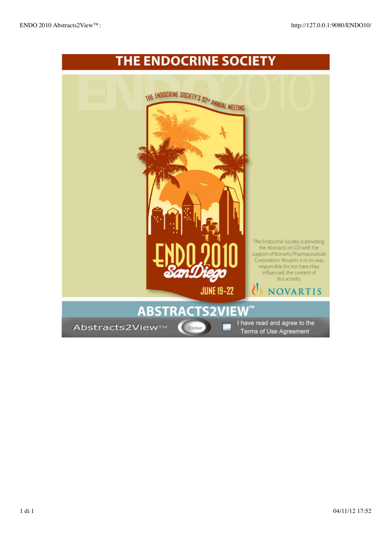